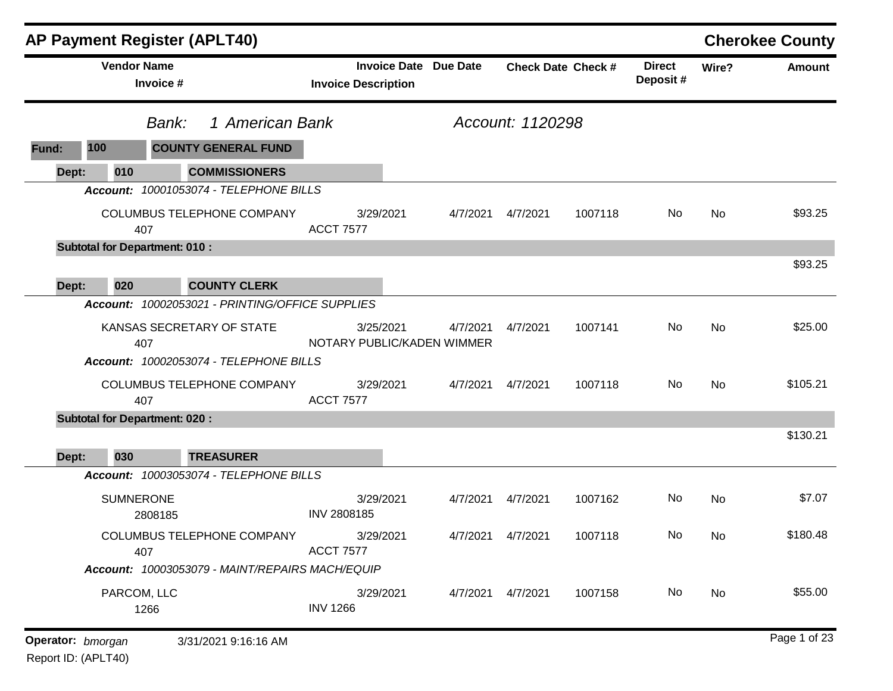| <b>AP Payment Register (APLT40)</b>                                                    |                                                            |          |                    |                           |                           |           | <b>Cherokee County</b> |
|----------------------------------------------------------------------------------------|------------------------------------------------------------|----------|--------------------|---------------------------|---------------------------|-----------|------------------------|
| <b>Vendor Name</b><br>Invoice #                                                        | <b>Invoice Date Due Date</b><br><b>Invoice Description</b> |          |                    | <b>Check Date Check #</b> | <b>Direct</b><br>Deposit# | Wire?     | <b>Amount</b>          |
| 1 American Bank<br>Bank:                                                               |                                                            |          | Account: 1120298   |                           |                           |           |                        |
| <b>COUNTY GENERAL FUND</b><br>100<br>Fund:                                             |                                                            |          |                    |                           |                           |           |                        |
| <b>COMMISSIONERS</b><br>010<br>Dept:                                                   |                                                            |          |                    |                           |                           |           |                        |
| Account: 10001053074 - TELEPHONE BILLS                                                 |                                                            |          |                    |                           |                           |           |                        |
| COLUMBUS TELEPHONE COMPANY<br>407                                                      | 3/29/2021<br><b>ACCT 7577</b>                              | 4/7/2021 | 4/7/2021           | 1007118                   | No                        | No        | \$93.25                |
| <b>Subtotal for Department: 010:</b>                                                   |                                                            |          |                    |                           |                           |           |                        |
|                                                                                        |                                                            |          |                    |                           |                           |           | \$93.25                |
| <b>COUNTY CLERK</b><br>020<br>Dept:<br>Account: 10002053021 - PRINTING/OFFICE SUPPLIES |                                                            |          |                    |                           |                           |           |                        |
|                                                                                        |                                                            |          |                    |                           |                           |           |                        |
| KANSAS SECRETARY OF STATE<br>407                                                       | 3/25/2021<br>NOTARY PUBLIC/KADEN WIMMER                    | 4/7/2021 | 4/7/2021           | 1007141                   | No                        | No        | \$25.00                |
| Account: 10002053074 - TELEPHONE BILLS                                                 |                                                            |          |                    |                           |                           |           |                        |
| COLUMBUS TELEPHONE COMPANY<br>407                                                      | 3/29/2021<br><b>ACCT 7577</b>                              | 4/7/2021 | 4/7/2021           | 1007118                   | No                        | <b>No</b> | \$105.21               |
| <b>Subtotal for Department: 020:</b>                                                   |                                                            |          |                    |                           |                           |           |                        |
| 030<br><b>TREASURER</b><br>Dept:                                                       |                                                            |          |                    |                           |                           |           | \$130.21               |
| Account: 10003053074 - TELEPHONE BILLS                                                 |                                                            |          |                    |                           |                           |           |                        |
| <b>SUMNERONE</b><br>2808185                                                            | 3/29/2021<br>INV 2808185                                   | 4/7/2021 | 4/7/2021           | 1007162                   | No                        | No        | \$7.07                 |
| COLUMBUS TELEPHONE COMPANY<br>407                                                      | 3/29/2021<br><b>ACCT 7577</b>                              |          | 4/7/2021  4/7/2021 | 1007118                   | No.                       | No        | \$180.48               |
| Account: 10003053079 - MAINT/REPAIRS MACH/EQUIP                                        |                                                            |          |                    |                           |                           |           |                        |
| PARCOM, LLC<br>1266                                                                    | 3/29/2021<br><b>INV 1266</b>                               |          | 4/7/2021  4/7/2021 | 1007158                   | No                        | No        | \$55.00                |
| Operator: bmorgan<br>3/31/2021 9:16:16 AM                                              |                                                            |          |                    |                           |                           |           | Page 1 of 23           |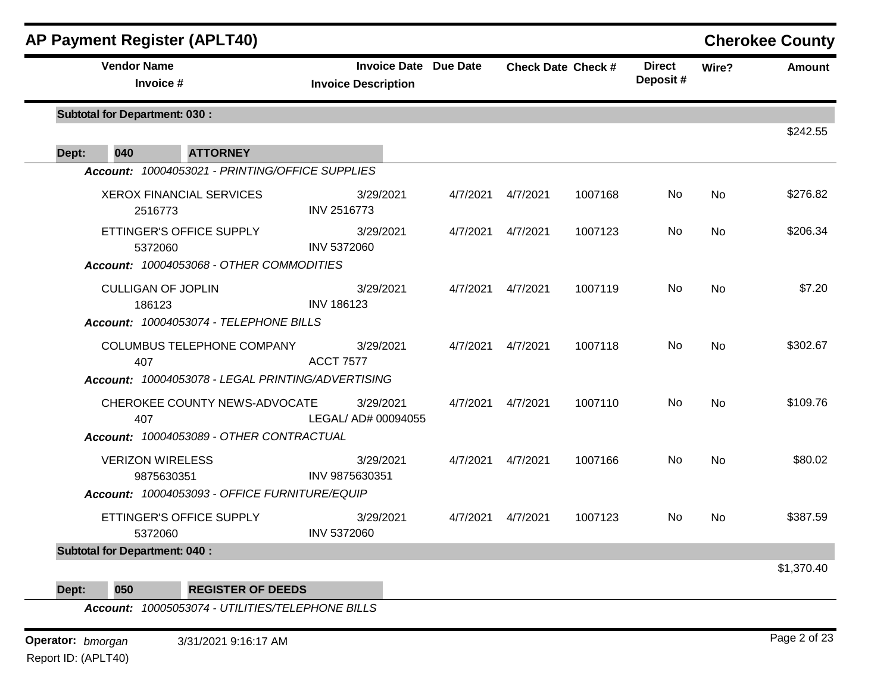| <b>AP Payment Register (APLT40)</b>                                             |                                                            |          |          |                           |                           |           | <b>Cherokee County</b> |
|---------------------------------------------------------------------------------|------------------------------------------------------------|----------|----------|---------------------------|---------------------------|-----------|------------------------|
| <b>Vendor Name</b><br>Invoice #                                                 | <b>Invoice Date Due Date</b><br><b>Invoice Description</b> |          |          | <b>Check Date Check #</b> | <b>Direct</b><br>Deposit# | Wire?     | <b>Amount</b>          |
| <b>Subtotal for Department: 030:</b>                                            |                                                            |          |          |                           |                           |           |                        |
| 040<br><b>ATTORNEY</b><br>Dept:                                                 |                                                            |          |          |                           |                           |           | \$242.55               |
| Account: 10004053021 - PRINTING/OFFICE SUPPLIES                                 |                                                            |          |          |                           |                           |           |                        |
| <b>XEROX FINANCIAL SERVICES</b><br>2516773                                      | 3/29/2021<br>INV 2516773                                   | 4/7/2021 | 4/7/2021 | 1007168                   | No                        | <b>No</b> | \$276.82               |
| ETTINGER'S OFFICE SUPPLY<br>5372060<br>Account: 10004053068 - OTHER COMMODITIES | 3/29/2021<br>INV 5372060                                   | 4/7/2021 | 4/7/2021 | 1007123                   | No                        | <b>No</b> | \$206.34               |
| <b>CULLIGAN OF JOPLIN</b><br>186123<br>Account: 10004053074 - TELEPHONE BILLS   | 3/29/2021<br><b>INV 186123</b>                             | 4/7/2021 | 4/7/2021 | 1007119                   | No.                       | <b>No</b> | \$7.20                 |
| COLUMBUS TELEPHONE COMPANY<br>407                                               | 3/29/2021<br><b>ACCT 7577</b>                              | 4/7/2021 | 4/7/2021 | 1007118                   | No                        | <b>No</b> | \$302.67               |
| Account: 10004053078 - LEGAL PRINTING/ADVERTISING                               |                                                            |          |          |                           |                           |           |                        |
| CHEROKEE COUNTY NEWS-ADVOCATE<br>407                                            | 3/29/2021<br>LEGAL/ AD# 00094055                           | 4/7/2021 | 4/7/2021 | 1007110                   | <b>No</b>                 | <b>No</b> | \$109.76               |
| Account: 10004053089 - OTHER CONTRACTUAL                                        |                                                            |          |          |                           |                           |           |                        |
| <b>VERIZON WIRELESS</b><br>9875630351                                           | 3/29/2021<br>INV 9875630351                                | 4/7/2021 | 4/7/2021 | 1007166                   | No                        | <b>No</b> | \$80.02                |
| Account: 10004053093 - OFFICE FURNITURE/EQUIP                                   |                                                            |          |          |                           |                           |           |                        |
| ETTINGER'S OFFICE SUPPLY<br>5372060                                             | 3/29/2021<br>INV 5372060                                   | 4/7/2021 | 4/7/2021 | 1007123                   | No.                       | <b>No</b> | \$387.59               |
| <b>Subtotal for Department: 040:</b>                                            |                                                            |          |          |                           |                           |           |                        |
|                                                                                 |                                                            |          |          |                           |                           |           | \$1,370.40             |

**Dept: 050 REGISTER OF DEEDS**

*Account: 10005053074 - UTILITIES/TELEPHONE BILLS*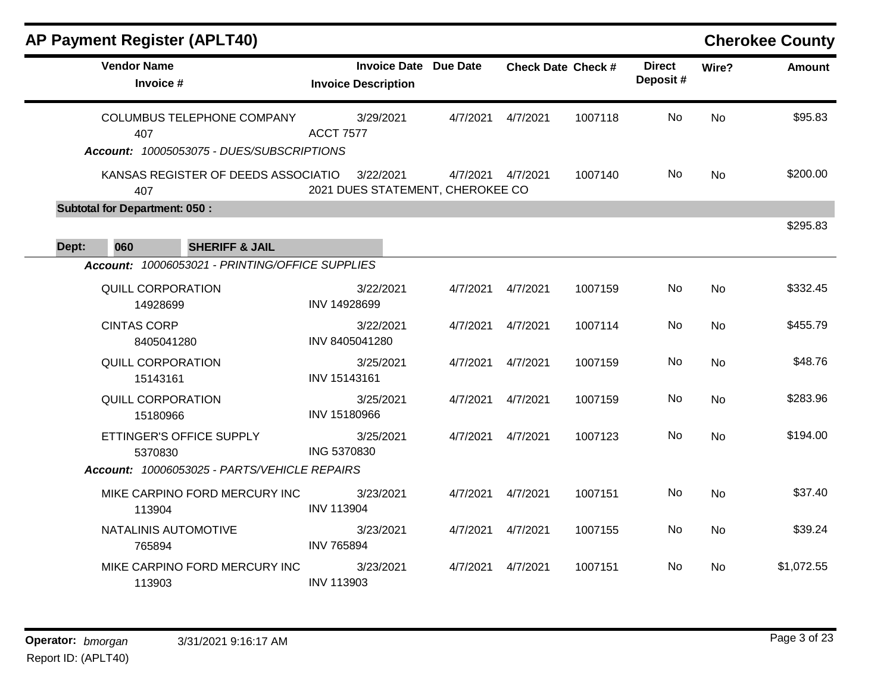| <b>AP Payment Register (APLT40)</b>             |                                                            |          |                    |                           |                           |           | <b>Cherokee County</b> |
|-------------------------------------------------|------------------------------------------------------------|----------|--------------------|---------------------------|---------------------------|-----------|------------------------|
| <b>Vendor Name</b><br>Invoice #                 | <b>Invoice Date Due Date</b><br><b>Invoice Description</b> |          |                    | <b>Check Date Check #</b> | <b>Direct</b><br>Deposit# | Wire?     | Amount                 |
| COLUMBUS TELEPHONE COMPANY<br>407               | 3/29/2021<br><b>ACCT 7577</b>                              | 4/7/2021 | 4/7/2021           | 1007118                   | <b>No</b>                 | <b>No</b> | \$95.83                |
| Account: 10005053075 - DUES/SUBSCRIPTIONS       |                                                            |          |                    |                           |                           |           |                        |
| KANSAS REGISTER OF DEEDS ASSOCIATIO<br>407      | 3/22/2021<br>2021 DUES STATEMENT, CHEROKEE CO              |          | 4/7/2021  4/7/2021 | 1007140                   | No                        | <b>No</b> | \$200.00               |
| <b>Subtotal for Department: 050:</b>            |                                                            |          |                    |                           |                           |           |                        |
| 060<br><b>SHERIFF &amp; JAIL</b><br>Dept:       |                                                            |          |                    |                           |                           |           | \$295.83               |
| Account: 10006053021 - PRINTING/OFFICE SUPPLIES |                                                            |          |                    |                           |                           |           |                        |
| <b>QUILL CORPORATION</b><br>14928699            | 3/22/2021<br>INV 14928699                                  | 4/7/2021 | 4/7/2021           | 1007159                   | <b>No</b>                 | <b>No</b> | \$332.45               |
| <b>CINTAS CORP</b><br>8405041280                | 3/22/2021<br>INV 8405041280                                | 4/7/2021 | 4/7/2021           | 1007114                   | <b>No</b>                 | <b>No</b> | \$455.79               |
| <b>QUILL CORPORATION</b><br>15143161            | 3/25/2021<br>INV 15143161                                  | 4/7/2021 | 4/7/2021           | 1007159                   | No                        | <b>No</b> | \$48.76                |
| QUILL CORPORATION<br>15180966                   | 3/25/2021<br>INV 15180966                                  | 4/7/2021 | 4/7/2021           | 1007159                   | No                        | <b>No</b> | \$283.96               |
| ETTINGER'S OFFICE SUPPLY<br>5370830             | 3/25/2021<br>ING 5370830                                   | 4/7/2021 | 4/7/2021           | 1007123                   | No                        | <b>No</b> | \$194.00               |
| Account: 10006053025 - PARTS/VEHICLE REPAIRS    |                                                            |          |                    |                           |                           |           |                        |
| MIKE CARPINO FORD MERCURY INC<br>113904         | 3/23/2021<br><b>INV 113904</b>                             | 4/7/2021 | 4/7/2021           | 1007151                   | No                        | <b>No</b> | \$37.40                |
| NATALINIS AUTOMOTIVE<br>765894                  | 3/23/2021<br><b>INV 765894</b>                             | 4/7/2021 | 4/7/2021           | 1007155                   | No                        | <b>No</b> | \$39.24                |
| MIKE CARPINO FORD MERCURY INC<br>113903         | 3/23/2021<br><b>INV 113903</b>                             | 4/7/2021 | 4/7/2021           | 1007151                   | <b>No</b>                 | No        | \$1,072.55             |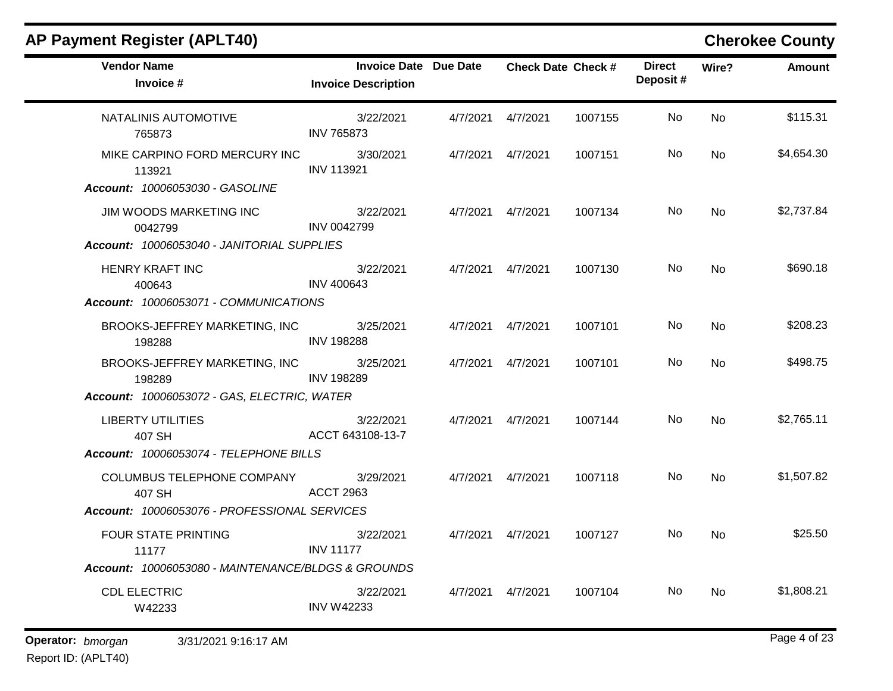| <b>Vendor Name</b><br>Invoice #                    | <b>Invoice Date Due Date</b><br><b>Invoice Description</b> |                    | <b>Check Date Check #</b> | <b>Direct</b><br>Deposit# | Wire?     | <b>Amount</b> |
|----------------------------------------------------|------------------------------------------------------------|--------------------|---------------------------|---------------------------|-----------|---------------|
| NATALINIS AUTOMOTIVE<br>765873                     | 3/22/2021<br><b>INV 765873</b>                             | 4/7/2021  4/7/2021 | 1007155                   | No.                       | <b>No</b> | \$115.31      |
| MIKE CARPINO FORD MERCURY INC<br>113921            | 3/30/2021<br><b>INV 113921</b>                             | 4/7/2021  4/7/2021 | 1007151                   | No.                       | <b>No</b> | \$4,654.30    |
| Account: 10006053030 - GASOLINE                    |                                                            |                    |                           |                           |           |               |
| JIM WOODS MARKETING INC<br>0042799                 | 3/22/2021<br><b>INV 0042799</b>                            | 4/7/2021  4/7/2021 | 1007134                   | No.                       | No        | \$2,737.84    |
| Account: 10006053040 - JANITORIAL SUPPLIES         |                                                            |                    |                           |                           |           |               |
| HENRY KRAFT INC<br>400643                          | 3/22/2021<br><b>INV 400643</b>                             | 4/7/2021  4/7/2021 | 1007130                   | No.                       | <b>No</b> | \$690.18      |
| Account: 10006053071 - COMMUNICATIONS              |                                                            |                    |                           |                           |           |               |
| BROOKS-JEFFREY MARKETING, INC<br>198288            | 3/25/2021<br><b>INV 198288</b>                             | 4/7/2021  4/7/2021 | 1007101                   | No.                       | <b>No</b> | \$208.23      |
| BROOKS-JEFFREY MARKETING, INC<br>198289            | 3/25/2021<br><b>INV 198289</b>                             | 4/7/2021  4/7/2021 | 1007101                   | No.                       | <b>No</b> | \$498.75      |
| Account: 10006053072 - GAS, ELECTRIC, WATER        |                                                            |                    |                           |                           |           |               |
| <b>LIBERTY UTILITIES</b><br>407 SH                 | 3/22/2021<br>ACCT 643108-13-7                              | 4/7/2021  4/7/2021 | 1007144                   | No.                       | <b>No</b> | \$2,765.11    |
| Account: 10006053074 - TELEPHONE BILLS             |                                                            |                    |                           |                           |           |               |
| COLUMBUS TELEPHONE COMPANY<br>407 SH               | 3/29/2021<br><b>ACCT 2963</b>                              | 4/7/2021  4/7/2021 | 1007118                   | No.                       | No        | \$1,507.82    |
| Account: 10006053076 - PROFESSIONAL SERVICES       |                                                            |                    |                           |                           |           |               |
| <b>FOUR STATE PRINTING</b><br>11177                | 3/22/2021<br><b>INV 11177</b>                              | 4/7/2021  4/7/2021 | 1007127                   | No.                       | <b>No</b> | \$25.50       |
| Account: 10006053080 - MAINTENANCE/BLDGS & GROUNDS |                                                            |                    |                           |                           |           |               |
| <b>CDL ELECTRIC</b><br>W42233                      | 3/22/2021<br><b>INV W42233</b>                             | 4/7/2021 4/7/2021  | 1007104                   | No.                       | <b>No</b> | \$1,808.21    |
|                                                    |                                                            |                    |                           |                           |           |               |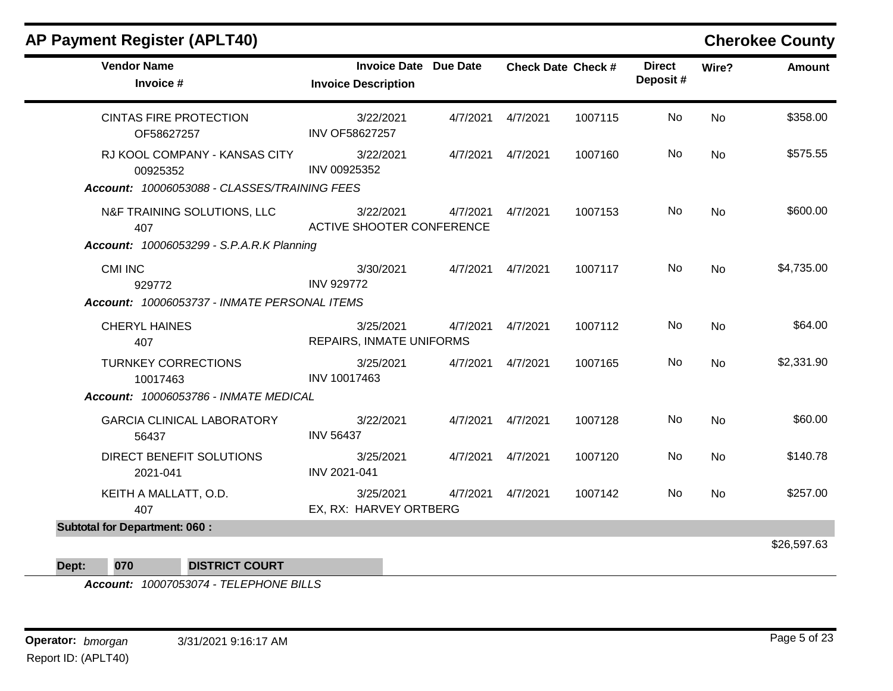|                                                                                           |                                                            |          |          |                           |                           |           | <b>OTERVICE OUTILY</b> |
|-------------------------------------------------------------------------------------------|------------------------------------------------------------|----------|----------|---------------------------|---------------------------|-----------|------------------------|
| <b>Vendor Name</b><br>Invoice #                                                           | <b>Invoice Date Due Date</b><br><b>Invoice Description</b> |          |          | <b>Check Date Check #</b> | <b>Direct</b><br>Deposit# | Wire?     | <b>Amount</b>          |
| <b>CINTAS FIRE PROTECTION</b><br>OF58627257                                               | 3/22/2021<br><b>INV OF58627257</b>                         | 4/7/2021 | 4/7/2021 | 1007115                   | No                        | <b>No</b> | \$358.00               |
| RJ KOOL COMPANY - KANSAS CITY<br>00925352<br>Account: 10006053088 - CLASSES/TRAINING FEES | 3/22/2021<br>INV 00925352                                  | 4/7/2021 | 4/7/2021 | 1007160                   | No                        | <b>No</b> | \$575.55               |
| N&F TRAINING SOLUTIONS, LLC<br>407<br><b>Account: 10006053299 - S.P.A.R.K Planning</b>    | 3/22/2021<br>ACTIVE SHOOTER CONFERENCE                     | 4/7/2021 | 4/7/2021 | 1007153                   | No                        | <b>No</b> | \$600.00               |
| <b>CMI INC</b><br>929772<br>Account: 10006053737 - INMATE PERSONAL ITEMS                  | 3/30/2021<br><b>INV 929772</b>                             | 4/7/2021 | 4/7/2021 | 1007117                   | No                        | <b>No</b> | \$4,735.00             |
| <b>CHERYL HAINES</b><br>407                                                               | 3/25/2021<br>REPAIRS, INMATE UNIFORMS                      | 4/7/2021 | 4/7/2021 | 1007112                   | No                        | <b>No</b> | \$64.00                |
| <b>TURNKEY CORRECTIONS</b><br>10017463<br>Account: 10006053786 - INMATE MEDICAL           | 3/25/2021<br>INV 10017463                                  | 4/7/2021 | 4/7/2021 | 1007165                   | No                        | No        | \$2,331.90             |
| <b>GARCIA CLINICAL LABORATORY</b><br>56437                                                | 3/22/2021<br><b>INV 56437</b>                              | 4/7/2021 | 4/7/2021 | 1007128                   | No                        | <b>No</b> | \$60.00                |
| DIRECT BENEFIT SOLUTIONS<br>2021-041                                                      | 3/25/2021<br>INV 2021-041                                  | 4/7/2021 | 4/7/2021 | 1007120                   | No                        | <b>No</b> | \$140.78               |
| KEITH A MALLATT, O.D.<br>407                                                              | 3/25/2021<br>EX, RX: HARVEY ORTBERG                        | 4/7/2021 | 4/7/2021 | 1007142                   | No                        | <b>No</b> | \$257.00               |
| <b>Subtotal for Department: 060:</b>                                                      |                                                            |          |          |                           |                           |           |                        |
|                                                                                           |                                                            |          |          |                           |                           |           | \$26,597.63            |
|                                                                                           |                                                            |          |          |                           |                           |           |                        |

**Dept: 070 DISTRICT COURT**

*Account: 10007053074 - TELEPHONE BILLS*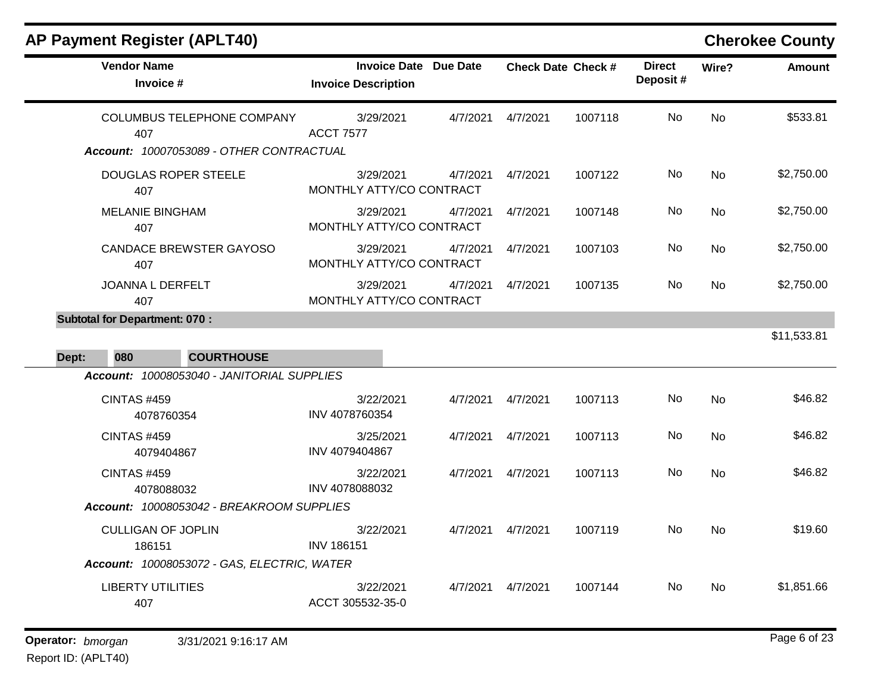| AP Payment Register (APLT40) |                            |  |
|------------------------------|----------------------------|--|
| <b>Vendor Name</b>           | Invoice Date Due D         |  |
| Invoice #                    | <b>Invoice Description</b> |  |
|                              |                            |  |

**Cherokee County** 

| <b>Vendor Name</b><br>Invoice #                                                      | <b>Invoice Date Due Date</b><br><b>Invoice Description</b> | <b>Check Date Check #</b> | <b>Direct</b><br>Deposit# | Wire?     | <b>Amount</b> |
|--------------------------------------------------------------------------------------|------------------------------------------------------------|---------------------------|---------------------------|-----------|---------------|
| <b>COLUMBUS TELEPHONE COMPANY</b><br>407<br>Account: 10007053089 - OTHER CONTRACTUAL | 3/29/2021<br>4/7/2021<br><b>ACCT 7577</b>                  | 1007118<br>4/7/2021       | No.                       | <b>No</b> | \$533.81      |
| <b>DOUGLAS ROPER STEELE</b><br>407                                                   | 3/29/2021<br>4/7/2021<br>MONTHLY ATTY/CO CONTRACT          | 4/7/2021<br>1007122       | No                        | <b>No</b> | \$2,750.00    |
| <b>MELANIE BINGHAM</b><br>407                                                        | 3/29/2021<br>4/7/2021<br>MONTHLY ATTY/CO CONTRACT          | 4/7/2021<br>1007148       | No                        | <b>No</b> | \$2,750.00    |
| <b>CANDACE BREWSTER GAYOSO</b><br>407                                                | 3/29/2021<br>4/7/2021<br>MONTHLY ATTY/CO CONTRACT          | 4/7/2021<br>1007103       | No.                       | <b>No</b> | \$2,750.00    |
| JOANNA L DERFELT<br>407                                                              | 3/29/2021<br>4/7/2021<br>MONTHLY ATTY/CO CONTRACT          | 4/7/2021<br>1007135       | <b>No</b>                 | <b>No</b> | \$2,750.00    |
| <b>Subtotal for Department: 070:</b><br>080<br><b>COURTHOUSE</b><br>Dept:            |                                                            |                           |                           |           | \$11,533.81   |
| Account: 10008053040 - JANITORIAL SUPPLIES<br><b>CINTAS #459</b><br>4078760354       | 3/22/2021<br>4/7/2021<br>INV 4078760354                    | 4/7/2021<br>1007113       | No.                       | <b>No</b> | \$46.82       |
| <b>CINTAS #459</b><br>4079404867                                                     | 3/25/2021<br>4/7/2021<br>INV 4079404867                    | 4/7/2021<br>1007113       | <b>No</b>                 | <b>No</b> | \$46.82       |
| <b>CINTAS #459</b><br>4078088032<br>Account: 10008053042 - BREAKROOM SUPPLIES        | 3/22/2021<br>4/7/2021<br>INV 4078088032                    | 4/7/2021<br>1007113       | No                        | <b>No</b> | \$46.82       |
| <b>CULLIGAN OF JOPLIN</b><br>186151<br>Account: 10008053072 - GAS, ELECTRIC, WATER   | 3/22/2021<br>4/7/2021<br><b>INV 186151</b>                 | 1007119<br>4/7/2021       | No.                       | <b>No</b> | \$19.60       |
| <b>LIBERTY UTILITIES</b><br>407                                                      | 3/22/2021<br>4/7/2021<br>ACCT 305532-35-0                  | 4/7/2021<br>1007144       | No.                       | <b>No</b> | \$1,851.66    |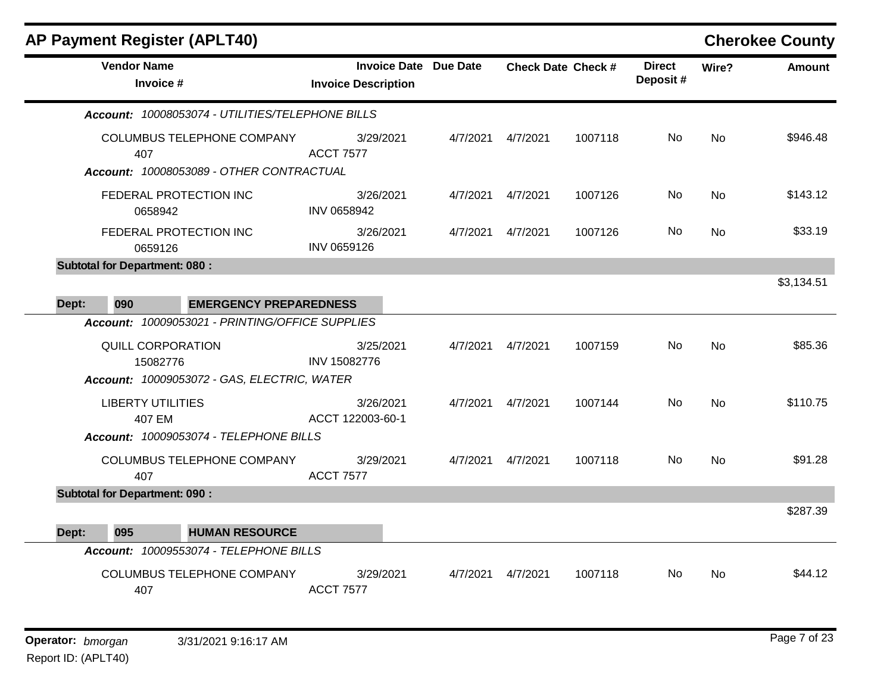|       |                                             | <b>AP Payment Register (APLT40)</b>              |                               |                              |          |                           |                           |           | <b>Cherokee County</b> |
|-------|---------------------------------------------|--------------------------------------------------|-------------------------------|------------------------------|----------|---------------------------|---------------------------|-----------|------------------------|
|       | <b>Vendor Name</b><br>Invoice #             |                                                  | <b>Invoice Description</b>    | <b>Invoice Date Due Date</b> |          | <b>Check Date Check #</b> | <b>Direct</b><br>Deposit# | Wire?     | <b>Amount</b>          |
|       |                                             | Account: 10008053074 - UTILITIES/TELEPHONE BILLS |                               |                              |          |                           |                           |           |                        |
|       | COLUMBUS TELEPHONE COMPANY<br>407           |                                                  | 3/29/2021<br><b>ACCT 7577</b> | 4/7/2021                     | 4/7/2021 | 1007118                   | No.                       | <b>No</b> | \$946.48               |
|       | FEDERAL PROTECTION INC<br>0658942           | Account: 10008053089 - OTHER CONTRACTUAL         | 3/26/2021<br>INV 0658942      | 4/7/2021                     | 4/7/2021 | 1007126                   | No                        | <b>No</b> | \$143.12               |
|       | FEDERAL PROTECTION INC<br>0659126           |                                                  | 3/26/2021<br>INV 0659126      | 4/7/2021                     | 4/7/2021 | 1007126                   | No                        | <b>No</b> | \$33.19                |
|       | <b>Subtotal for Department: 080:</b><br>090 | <b>EMERGENCY PREPAREDNESS</b>                    |                               |                              |          |                           |                           |           | \$3,134.51             |
| Dept: |                                             | Account: 10009053021 - PRINTING/OFFICE SUPPLIES  |                               |                              |          |                           |                           |           |                        |
|       | <b>QUILL CORPORATION</b><br>15082776        | Account: 10009053072 - GAS, ELECTRIC, WATER      | 3/25/2021<br>INV 15082776     | 4/7/2021                     | 4/7/2021 | 1007159                   | No                        | <b>No</b> | \$85.36                |
|       | <b>LIBERTY UTILITIES</b><br>407 EM          | Account: 10009053074 - TELEPHONE BILLS           | 3/26/2021<br>ACCT 122003-60-1 | 4/7/2021                     | 4/7/2021 | 1007144                   | No                        | <b>No</b> | \$110.75               |
|       | 407                                         | <b>COLUMBUS TELEPHONE COMPANY</b>                | 3/29/2021<br><b>ACCT 7577</b> | 4/7/2021                     | 4/7/2021 | 1007118                   | No                        | <b>No</b> | \$91.28                |
|       | <b>Subtotal for Department: 090:</b>        |                                                  |                               |                              |          |                           |                           |           |                        |
| Dept: | 095                                         | <b>HUMAN RESOURCE</b>                            |                               |                              |          |                           |                           |           | \$287.39               |
|       |                                             | Account: 10009553074 - TELEPHONE BILLS           |                               |                              |          |                           |                           |           |                        |
|       | 407                                         | <b>COLUMBUS TELEPHONE COMPANY</b>                | 3/29/2021<br><b>ACCT 7577</b> | 4/7/2021                     | 4/7/2021 | 1007118                   | No.                       | <b>No</b> | \$44.12                |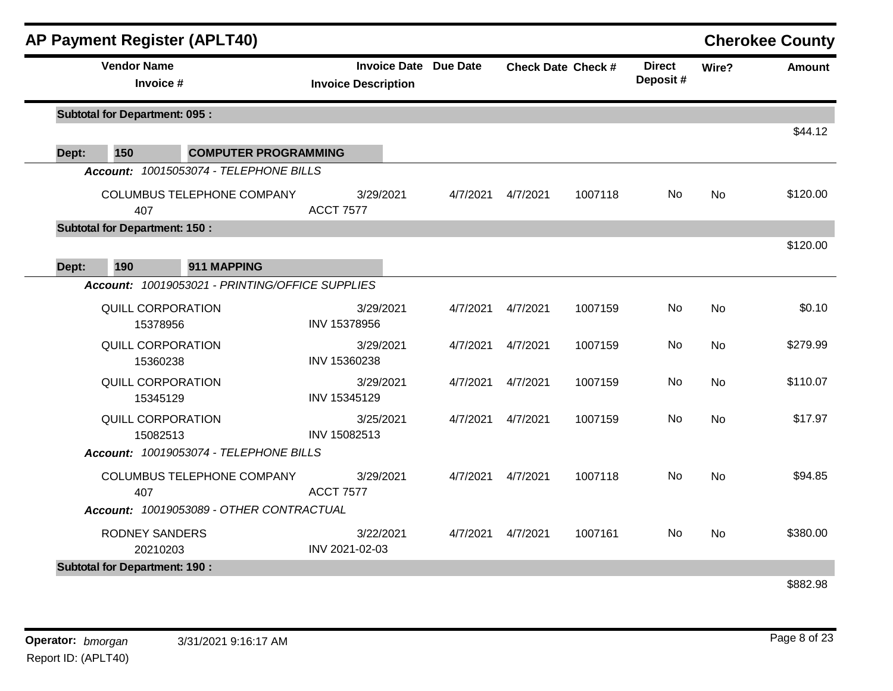| <b>AP Payment Register (APLT40)</b>                                                   |                                                            |          |          |                           |                           |           | <b>Cherokee County</b> |
|---------------------------------------------------------------------------------------|------------------------------------------------------------|----------|----------|---------------------------|---------------------------|-----------|------------------------|
| <b>Vendor Name</b><br>Invoice #                                                       | <b>Invoice Date Due Date</b><br><b>Invoice Description</b> |          |          | <b>Check Date Check #</b> | <b>Direct</b><br>Deposit# | Wire?     | <b>Amount</b>          |
| <b>Subtotal for Department: 095:</b>                                                  |                                                            |          |          |                           |                           |           |                        |
|                                                                                       |                                                            |          |          |                           |                           |           | \$44.12                |
| 150<br><b>COMPUTER PROGRAMMING</b><br>Dept:<br>Account: 10015053074 - TELEPHONE BILLS |                                                            |          |          |                           |                           |           |                        |
| COLUMBUS TELEPHONE COMPANY<br>407                                                     | 3/29/2021<br><b>ACCT 7577</b>                              | 4/7/2021 | 4/7/2021 | 1007118                   | <b>No</b>                 | <b>No</b> | \$120.00               |
| <b>Subtotal for Department: 150:</b>                                                  |                                                            |          |          |                           |                           |           |                        |
|                                                                                       |                                                            |          |          |                           |                           |           | \$120.00               |
| 190<br>911 MAPPING<br>Dept:                                                           |                                                            |          |          |                           |                           |           |                        |
| Account: 10019053021 - PRINTING/OFFICE SUPPLIES                                       |                                                            |          |          |                           |                           |           |                        |
| <b>QUILL CORPORATION</b><br>15378956                                                  | 3/29/2021<br>INV 15378956                                  | 4/7/2021 | 4/7/2021 | 1007159                   | <b>No</b>                 | No        | \$0.10                 |
| <b>QUILL CORPORATION</b><br>15360238                                                  | 3/29/2021<br>INV 15360238                                  | 4/7/2021 | 4/7/2021 | 1007159                   | No                        | <b>No</b> | \$279.99               |
| <b>QUILL CORPORATION</b><br>15345129                                                  | 3/29/2021<br>INV 15345129                                  | 4/7/2021 | 4/7/2021 | 1007159                   | <b>No</b>                 | <b>No</b> | \$110.07               |
| <b>QUILL CORPORATION</b><br>15082513                                                  | 3/25/2021<br>INV 15082513                                  | 4/7/2021 | 4/7/2021 | 1007159                   | No                        | <b>No</b> | \$17.97                |
| Account: 10019053074 - TELEPHONE BILLS                                                |                                                            |          |          |                           |                           |           |                        |
| COLUMBUS TELEPHONE COMPANY<br>407                                                     | 3/29/2021<br><b>ACCT 7577</b>                              | 4/7/2021 | 4/7/2021 | 1007118                   | <b>No</b>                 | No        | \$94.85                |
| Account: 10019053089 - OTHER CONTRACTUAL                                              |                                                            |          |          |                           |                           |           |                        |
| <b>RODNEY SANDERS</b><br>20210203                                                     | 3/22/2021<br>INV 2021-02-03                                | 4/7/2021 | 4/7/2021 | 1007161                   | <b>No</b>                 | <b>No</b> | \$380.00               |
| <b>Subtotal for Department: 190:</b>                                                  |                                                            |          |          |                           |                           |           |                        |

\$882.98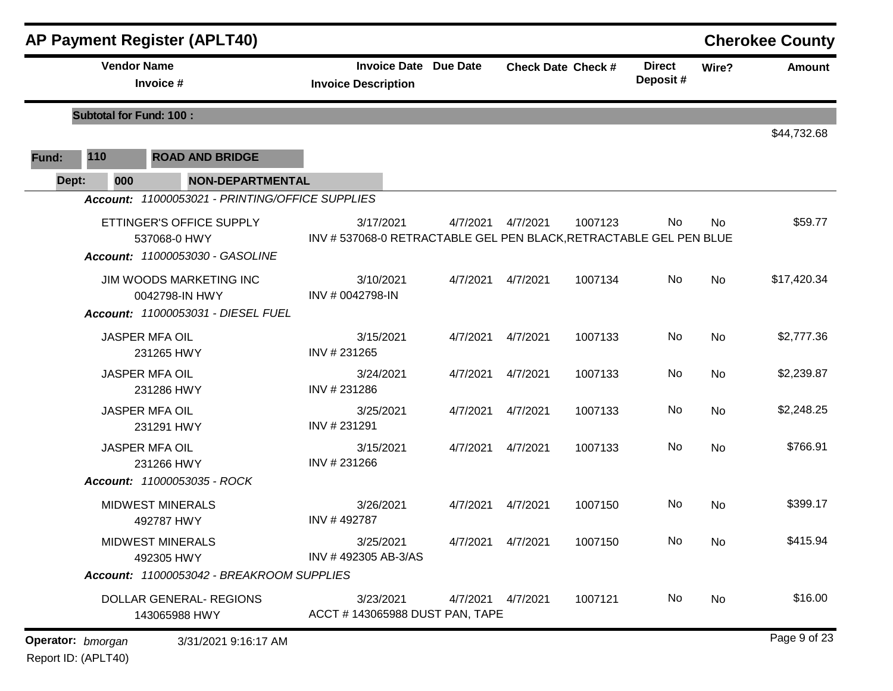|       |                                | <b>AP Payment Register (APLT40)</b>             |                                                                   |          |                           |         |                           |           | <b>Cherokee County</b> |
|-------|--------------------------------|-------------------------------------------------|-------------------------------------------------------------------|----------|---------------------------|---------|---------------------------|-----------|------------------------|
|       | <b>Vendor Name</b>             | Invoice #                                       | <b>Invoice Date Due Date</b><br><b>Invoice Description</b>        |          | <b>Check Date Check #</b> |         | <b>Direct</b><br>Deposit# | Wire?     | <b>Amount</b>          |
|       | <b>Subtotal for Fund: 100:</b> |                                                 |                                                                   |          |                           |         |                           |           |                        |
| Fund: | 110                            | <b>ROAD AND BRIDGE</b>                          |                                                                   |          |                           |         |                           |           | \$44,732.68            |
| Dept: | 000                            | <b>NON-DEPARTMENTAL</b>                         |                                                                   |          |                           |         |                           |           |                        |
|       |                                | Account: 11000053021 - PRINTING/OFFICE SUPPLIES |                                                                   |          |                           |         |                           |           |                        |
|       |                                | ETTINGER'S OFFICE SUPPLY                        | 3/17/2021                                                         | 4/7/2021 | 4/7/2021                  | 1007123 | No                        | <b>No</b> | \$59.77                |
|       |                                | 537068-0 HWY<br>Account: 11000053030 - GASOLINE | INV #537068-0 RETRACTABLE GEL PEN BLACK, RETRACTABLE GEL PEN BLUE |          |                           |         |                           |           |                        |
|       |                                | <b>JIM WOODS MARKETING INC</b>                  | 3/10/2021                                                         | 4/7/2021 | 4/7/2021                  | 1007134 | No                        | <b>No</b> | \$17,420.34            |
|       |                                | 0042798-IN HWY                                  | INV # 0042798-IN                                                  |          |                           |         |                           |           |                        |
|       |                                | Account: 11000053031 - DIESEL FUEL              |                                                                   |          |                           |         |                           |           |                        |
|       |                                | JASPER MFA OIL<br>231265 HWY                    | 3/15/2021<br>INV #231265                                          | 4/7/2021 | 4/7/2021                  | 1007133 | No                        | No        | \$2,777.36             |
|       |                                | <b>JASPER MFA OIL</b><br>231286 HWY             | 3/24/2021<br>INV #231286                                          | 4/7/2021 | 4/7/2021                  | 1007133 | No                        | <b>No</b> | \$2,239.87             |
|       |                                | JASPER MFA OIL<br>231291 HWY                    | 3/25/2021<br>INV #231291                                          | 4/7/2021 | 4/7/2021                  | 1007133 | No                        | <b>No</b> | \$2,248.25             |
|       |                                | <b>JASPER MFA OIL</b><br>231266 HWY             | 3/15/2021<br>INV #231266                                          | 4/7/2021 | 4/7/2021                  | 1007133 | No                        | <b>No</b> | \$766.91               |
|       |                                | Account: 11000053035 - ROCK                     |                                                                   |          |                           |         |                           |           |                        |
|       |                                | <b>MIDWEST MINERALS</b><br>492787 HWY           | 3/26/2021<br>INV #492787                                          | 4/7/2021 | 4/7/2021                  | 1007150 | No                        | <b>No</b> | \$399.17               |
|       |                                | <b>MIDWEST MINERALS</b><br>492305 HWY           | 3/25/2021<br>INV #492305 AB-3/AS                                  | 4/7/2021 | 4/7/2021                  | 1007150 | No                        | No        | \$415.94               |
|       |                                | Account: 11000053042 - BREAKROOM SUPPLIES       |                                                                   |          |                           |         |                           |           |                        |
|       |                                | DOLLAR GENERAL- REGIONS<br>143065988 HWY        | 3/23/2021<br>ACCT #143065988 DUST PAN, TAPE                       |          | 4/7/2021  4/7/2021        | 1007121 | No                        | No        | \$16.00                |
|       | Operator: bmorgan              | 3/31/2021 9:16:17 AM                            |                                                                   |          |                           |         |                           |           | Page 9 of 23           |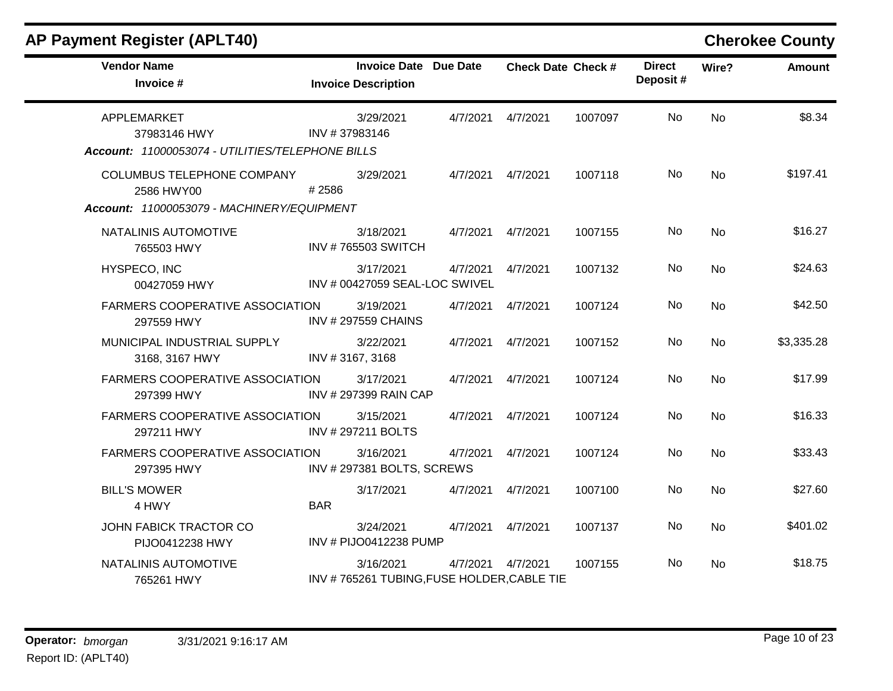| <b>Vendor Name</b><br>Invoice #                      | <b>Invoice Date Due Date</b><br><b>Invoice Description</b> |          | <b>Check Date Check #</b> |         | <b>Direct</b><br>Deposit# | Wire?     | <b>Amount</b> |
|------------------------------------------------------|------------------------------------------------------------|----------|---------------------------|---------|---------------------------|-----------|---------------|
| APPLEMARKET<br>37983146 HWY                          | 3/29/2021<br>INV #37983146                                 | 4/7/2021 | 4/7/2021                  | 1007097 | <b>No</b>                 | <b>No</b> | \$8.34        |
| Account: 11000053074 - UTILITIES/TELEPHONE BILLS     |                                                            |          |                           |         |                           |           |               |
| COLUMBUS TELEPHONE COMPANY<br>2586 HWY00             | 3/29/2021<br>#2586                                         | 4/7/2021 | 4/7/2021                  | 1007118 | <b>No</b>                 | <b>No</b> | \$197.41      |
| Account: 11000053079 - MACHINERY/EQUIPMENT           |                                                            |          |                           |         |                           |           |               |
| NATALINIS AUTOMOTIVE<br>765503 HWY                   | 3/18/2021<br><b>INV #765503 SWITCH</b>                     | 4/7/2021 | 4/7/2021                  | 1007155 | <b>No</b>                 | <b>No</b> | \$16.27       |
| HYSPECO, INC<br>00427059 HWY                         | 3/17/2021<br>INV # 00427059 SEAL-LOC SWIVEL                | 4/7/2021 | 4/7/2021                  | 1007132 | <b>No</b>                 | <b>No</b> | \$24.63       |
| <b>FARMERS COOPERATIVE ASSOCIATION</b><br>297559 HWY | 3/19/2021<br><b>INV #297559 CHAINS</b>                     | 4/7/2021 | 4/7/2021                  | 1007124 | <b>No</b>                 | <b>No</b> | \$42.50       |
| MUNICIPAL INDUSTRIAL SUPPLY<br>3168, 3167 HWY        | 3/22/2021<br>INV #3167, 3168                               | 4/7/2021 | 4/7/2021                  | 1007152 | <b>No</b>                 | No        | \$3,335.28    |
| <b>FARMERS COOPERATIVE ASSOCIATION</b><br>297399 HWY | 3/17/2021<br>INV # 297399 RAIN CAP                         | 4/7/2021 | 4/7/2021                  | 1007124 | <b>No</b>                 | <b>No</b> | \$17.99       |
| <b>FARMERS COOPERATIVE ASSOCIATION</b><br>297211 HWY | 3/15/2021<br>INV #297211 BOLTS                             | 4/7/2021 | 4/7/2021                  | 1007124 | <b>No</b>                 | <b>No</b> | \$16.33       |
| <b>FARMERS COOPERATIVE ASSOCIATION</b><br>297395 HWY | 3/16/2021<br>INV #297381 BOLTS, SCREWS                     | 4/7/2021 | 4/7/2021                  | 1007124 | <b>No</b>                 | <b>No</b> | \$33.43       |
| <b>BILL'S MOWER</b><br>4 HWY                         | 3/17/2021<br><b>BAR</b>                                    | 4/7/2021 | 4/7/2021                  | 1007100 | <b>No</b>                 | <b>No</b> | \$27.60       |
| JOHN FABICK TRACTOR CO<br>PIJO0412238 HWY            | 3/24/2021<br>INV # PIJO0412238 PUMP                        | 4/7/2021 | 4/7/2021                  | 1007137 | <b>No</b>                 | <b>No</b> | \$401.02      |
| NATALINIS AUTOMOTIVE<br>765261 HWY                   | 3/16/2021<br>INV #765261 TUBING, FUSE HOLDER, CABLE TIE    | 4/7/2021 | 4/7/2021                  | 1007155 | <b>No</b>                 | <b>No</b> | \$18.75       |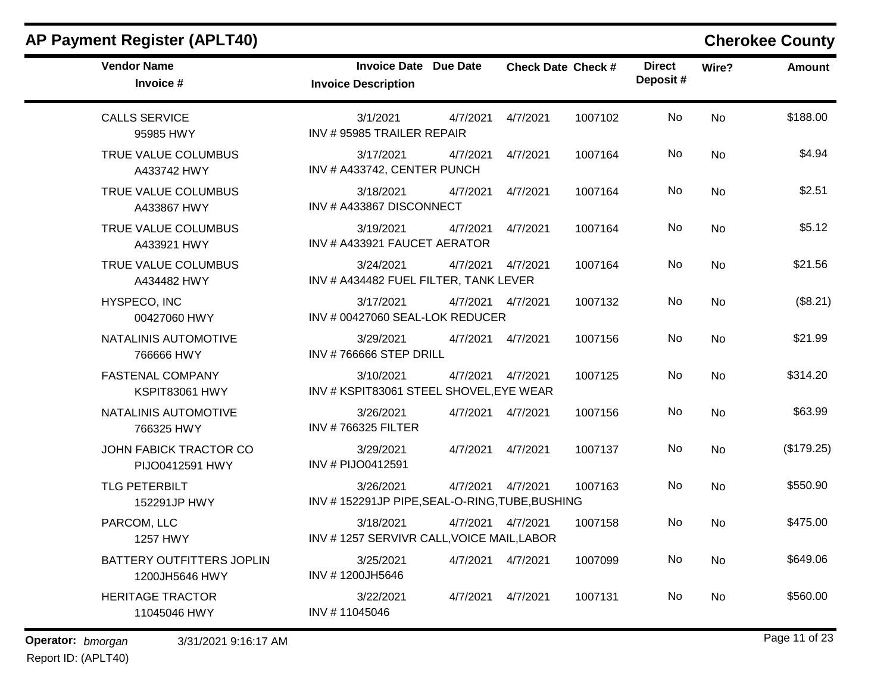| <b>Vendor Name</b><br>Invoice #             | <b>Invoice Date Due Date</b><br><b>Invoice Description</b>              | <b>Check Date Check #</b>     | <b>Direct</b><br>Deposit# | Wire?     | <b>Amount</b> |
|---------------------------------------------|-------------------------------------------------------------------------|-------------------------------|---------------------------|-----------|---------------|
| <b>CALLS SERVICE</b><br>95985 HWY           | 3/1/2021<br>4/7/2021<br>INV #95985 TRAILER REPAIR                       | 4/7/2021<br>1007102           | No                        | <b>No</b> | \$188.00      |
| TRUE VALUE COLUMBUS<br>A433742 HWY          | 3/17/2021<br>4/7/2021<br>INV # A433742, CENTER PUNCH                    | 4/7/2021<br>1007164           | No                        | <b>No</b> | \$4.94        |
| TRUE VALUE COLUMBUS<br>A433867 HWY          | 3/18/2021<br>4/7/2021<br>INV # A433867 DISCONNECT                       | 4/7/2021<br>1007164           | No                        | <b>No</b> | \$2.51        |
| TRUE VALUE COLUMBUS<br>A433921 HWY          | 3/19/2021<br>4/7/2021<br>INV # A433921 FAUCET AERATOR                   | 4/7/2021<br>1007164           | No                        | <b>No</b> | \$5.12        |
| TRUE VALUE COLUMBUS<br>A434482 HWY          | 3/24/2021<br>4/7/2021<br>INV # A434482 FUEL FILTER, TANK LEVER          | 4/7/2021<br>1007164           | No                        | No        | \$21.56       |
| HYSPECO, INC<br>00427060 HWY                | 3/17/2021<br>INV # 00427060 SEAL-LOK REDUCER                            | 4/7/2021  4/7/2021<br>1007132 | No                        | <b>No</b> | (\$8.21)      |
| NATALINIS AUTOMOTIVE<br>766666 HWY          | 3/29/2021<br>4/7/2021<br>INV #766666 STEP DRILL                         | 4/7/2021<br>1007156           | No.                       | <b>No</b> | \$21.99       |
| <b>FASTENAL COMPANY</b><br>KSPIT83061 HWY   | 3/10/2021<br>4/7/2021<br>INV # KSPIT83061 STEEL SHOVEL, EYE WEAR        | 1007125<br>4/7/2021           | No                        | <b>No</b> | \$314.20      |
| NATALINIS AUTOMOTIVE<br>766325 HWY          | 3/26/2021<br><b>INV #766325 FILTER</b>                                  | 1007156<br>4/7/2021  4/7/2021 | No                        | <b>No</b> | \$63.99       |
| JOHN FABICK TRACTOR CO<br>PIJO0412591 HWY   | 3/29/2021<br>4/7/2021<br>INV # PIJO0412591                              | 4/7/2021<br>1007137           | No                        | <b>No</b> | (\$179.25)    |
| <b>TLG PETERBILT</b><br>152291JP HWY        | 3/26/2021<br>4/7/2021<br>INV #152291JP PIPE, SEAL-O-RING, TUBE, BUSHING | 4/7/2021<br>1007163           | No                        | <b>No</b> | \$550.90      |
| PARCOM, LLC<br>1257 HWY                     | 3/18/2021<br>INV #1257 SERVIVR CALL, VOICE MAIL, LABOR                  | 1007158<br>4/7/2021  4/7/2021 | <b>No</b>                 | No        | \$475.00      |
| BATTERY OUTFITTERS JOPLIN<br>1200JH5646 HWY | 3/25/2021<br>INV #1200JH5646                                            | 4/7/2021  4/7/2021<br>1007099 | No                        | <b>No</b> | \$649.06      |
| <b>HERITAGE TRACTOR</b><br>11045046 HWY     | 3/22/2021<br>4/7/2021<br>INV #11045046                                  | 4/7/2021<br>1007131           | No                        | <b>No</b> | \$560.00      |

**Operator:** bmorgan 3/31/2021 9:16:17 AM **bigger 3/31/2021 9:16:17 AM**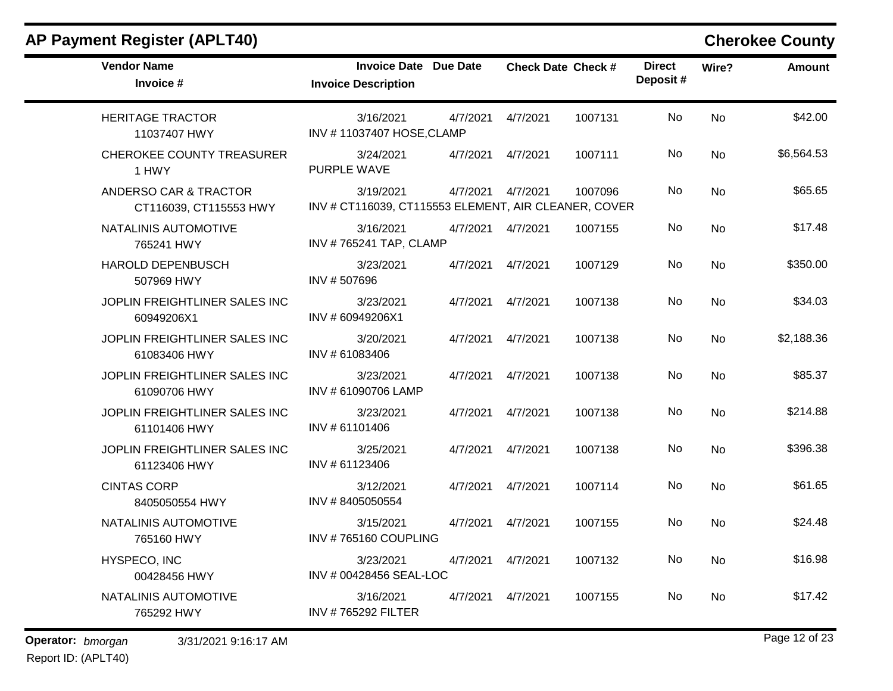| <b>AP Payment Register (APLT40)</b>             |                                                                   |          |                           |         |                           |           | <b>Cherokee County</b> |
|-------------------------------------------------|-------------------------------------------------------------------|----------|---------------------------|---------|---------------------------|-----------|------------------------|
| <b>Vendor Name</b><br>Invoice #                 | <b>Invoice Date</b><br><b>Invoice Description</b>                 | Due Date | <b>Check Date Check #</b> |         | <b>Direct</b><br>Deposit# | Wire?     | <b>Amount</b>          |
| <b>HERITAGE TRACTOR</b><br>11037407 HWY         | 3/16/2021<br>INV #11037407 HOSE, CLAMP                            | 4/7/2021 | 4/7/2021                  | 1007131 | <b>No</b>                 | <b>No</b> | \$42.00                |
| CHEROKEE COUNTY TREASURER<br>1 HWY              | 3/24/2021<br>PURPLE WAVE                                          | 4/7/2021 | 4/7/2021                  | 1007111 | No                        | No        | \$6,564.53             |
| ANDERSO CAR & TRACTOR<br>CT116039, CT115553 HWY | 3/19/2021<br>INV # CT116039, CT115553 ELEMENT, AIR CLEANER, COVER | 4/7/2021 | 4/7/2021                  | 1007096 | <b>No</b>                 | No        | \$65.65                |
| NATALINIS AUTOMOTIVE<br>765241 HWY              | 3/16/2021<br>INV #765241 TAP, CLAMP                               | 4/7/2021 | 4/7/2021                  | 1007155 | No                        | No        | \$17.48                |
| <b>HAROLD DEPENBUSCH</b><br>507969 HWY          | 3/23/2021<br>INV #507696                                          | 4/7/2021 | 4/7/2021                  | 1007129 | No                        | <b>No</b> | \$350.00               |
| JOPLIN FREIGHTLINER SALES INC<br>60949206X1     | 3/23/2021<br>INV #60949206X1                                      | 4/7/2021 | 4/7/2021                  | 1007138 | No                        | No        | \$34.03                |
| JOPLIN FREIGHTLINER SALES INC<br>61083406 HWY   | 3/20/2021<br>INV # 61083406                                       | 4/7/2021 | 4/7/2021                  | 1007138 | No                        | No        | \$2,188.36             |
| JOPLIN FREIGHTLINER SALES INC<br>61090706 HWY   | 3/23/2021<br>INV # 61090706 LAMP                                  | 4/7/2021 | 4/7/2021                  | 1007138 | No                        | No        | \$85.37                |
| JOPLIN FREIGHTLINER SALES INC<br>61101406 HWY   | 3/23/2021<br>INV #61101406                                        | 4/7/2021 | 4/7/2021                  | 1007138 | No                        | No        | \$214.88               |
| JOPLIN FREIGHTLINER SALES INC<br>61123406 HWY   | 3/25/2021<br>INV # 61123406                                       | 4/7/2021 | 4/7/2021                  | 1007138 | No                        | No        | \$396.38               |
| <b>CINTAS CORP</b><br>8405050554 HWY            | 3/12/2021<br>INV #8405050554                                      | 4/7/2021 | 4/7/2021                  | 1007114 | No                        | No        | \$61.65                |
| NATALINIS AUTOMOTIVE<br>765160 HWY              | 3/15/2021<br>INV #765160 COUPLING                                 | 4/7/2021 | 4/7/2021                  | 1007155 | No                        | No        | \$24.48                |
| HYSPECO, INC<br>00428456 HWY                    | 3/23/2021<br>INV # 00428456 SEAL-LOC                              | 4/7/2021 | 4/7/2021                  | 1007132 | No                        | No        | \$16.98                |
| NATALINIS AUTOMOTIVE<br>765292 HWY              | 3/16/2021<br><b>INV #765292 FILTER</b>                            | 4/7/2021 | 4/7/2021                  | 1007155 | No                        | No        | \$17.42                |

**Operator:** bmorgan 3/31/2021 9:16:17 AM **bigger 12 of 23 bigger 12 of 23**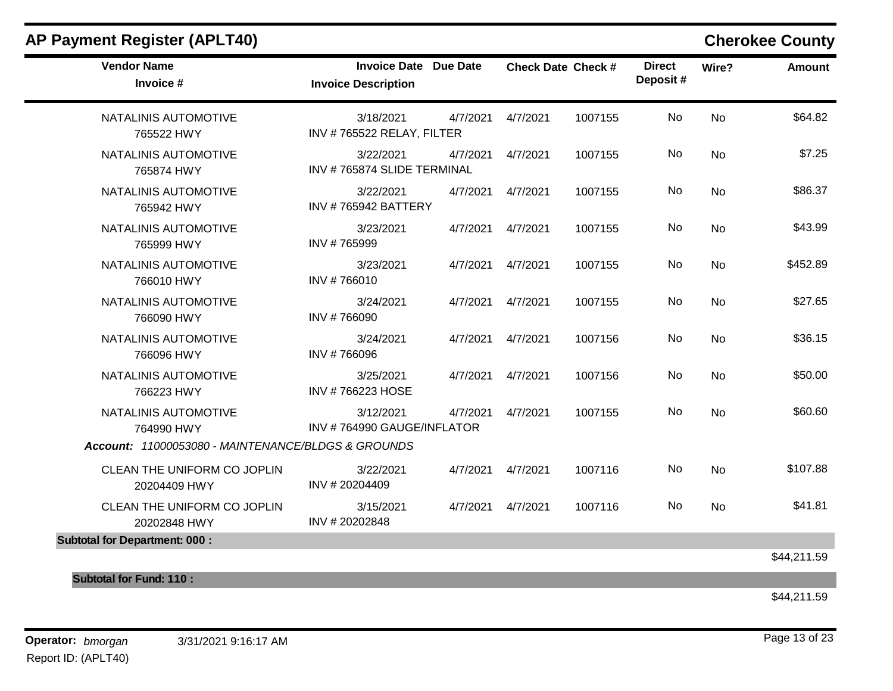| <b>Vendor Name</b><br>Invoice #                    | <b>Invoice Date Due Date</b><br><b>Invoice Description</b> |          |                    | <b>Check Date Check #</b> | <b>Direct</b><br>Deposit# | Wire?     | Amount      |
|----------------------------------------------------|------------------------------------------------------------|----------|--------------------|---------------------------|---------------------------|-----------|-------------|
| NATALINIS AUTOMOTIVE<br>765522 HWY                 | 3/18/2021<br>INV #765522 RELAY, FILTER                     | 4/7/2021 | 4/7/2021           | 1007155                   | <b>No</b>                 | <b>No</b> | \$64.82     |
| NATALINIS AUTOMOTIVE<br>765874 HWY                 | 3/22/2021<br>INV #765874 SLIDE TERMINAL                    | 4/7/2021 | 4/7/2021           | 1007155                   | <b>No</b>                 | No        | \$7.25      |
| NATALINIS AUTOMOTIVE<br>765942 HWY                 | 3/22/2021<br><b>INV #765942 BATTERY</b>                    | 4/7/2021 | 4/7/2021           | 1007155                   | No                        | No        | \$86.37     |
| NATALINIS AUTOMOTIVE<br>765999 HWY                 | 3/23/2021<br>INV #765999                                   | 4/7/2021 | 4/7/2021           | 1007155                   | No                        | No        | \$43.99     |
| NATALINIS AUTOMOTIVE<br>766010 HWY                 | 3/23/2021<br>INV #766010                                   | 4/7/2021 | 4/7/2021           | 1007155                   | No                        | <b>No</b> | \$452.89    |
| NATALINIS AUTOMOTIVE<br>766090 HWY                 | 3/24/2021<br>INV #766090                                   | 4/7/2021 | 4/7/2021           | 1007155                   | No                        | <b>No</b> | \$27.65     |
| NATALINIS AUTOMOTIVE<br>766096 HWY                 | 3/24/2021<br>INV #766096                                   | 4/7/2021 | 4/7/2021           | 1007156                   | <b>No</b>                 | <b>No</b> | \$36.15     |
| NATALINIS AUTOMOTIVE<br>766223 HWY                 | 3/25/2021<br>INV #766223 HOSE                              |          | 4/7/2021  4/7/2021 | 1007156                   | <b>No</b>                 | <b>No</b> | \$50.00     |
| NATALINIS AUTOMOTIVE<br>764990 HWY                 | 3/12/2021<br>INV #764990 GAUGE/INFLATOR                    | 4/7/2021 | 4/7/2021           | 1007155                   | No                        | <b>No</b> | \$60.60     |
| Account: 11000053080 - MAINTENANCE/BLDGS & GROUNDS |                                                            |          |                    |                           |                           |           |             |
| CLEAN THE UNIFORM CO JOPLIN<br>20204409 HWY        | 3/22/2021<br>INV #20204409                                 | 4/7/2021 | 4/7/2021           | 1007116                   | No                        | <b>No</b> | \$107.88    |
| CLEAN THE UNIFORM CO JOPLIN<br>20202848 HWY        | 3/15/2021<br>INV #20202848                                 |          | 4/7/2021  4/7/2021 | 1007116                   | <b>No</b>                 | <b>No</b> | \$41.81     |
| <b>Subtotal for Department: 000:</b>               |                                                            |          |                    |                           |                           |           |             |
|                                                    |                                                            |          |                    |                           |                           |           | \$44,211.59 |
| <b>Subtotal for Fund: 110:</b>                     |                                                            |          |                    |                           |                           |           |             |

\$44,211.59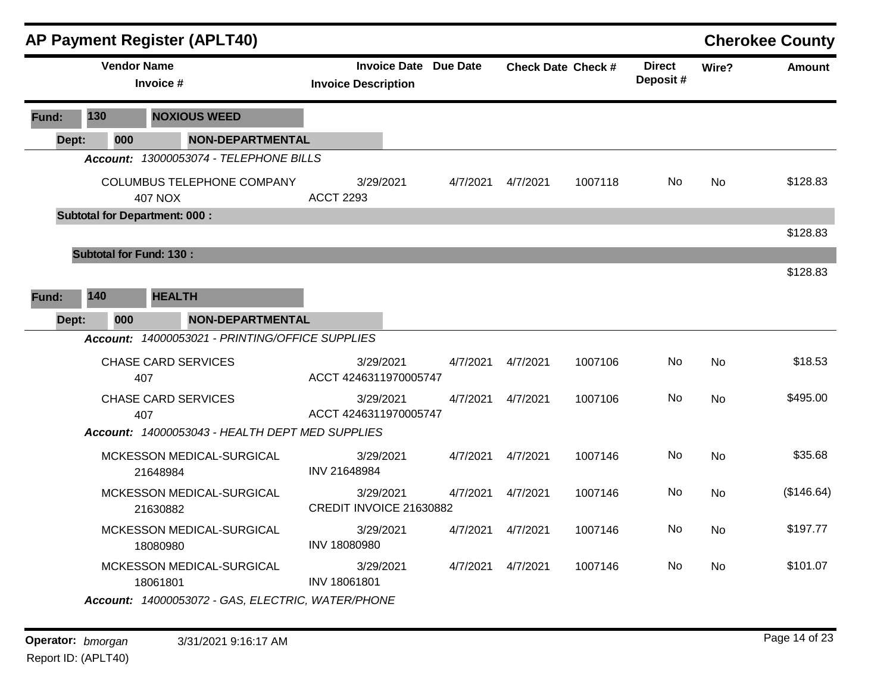|       |     |                                      |                | <b>AP Payment Register (APLT40)</b>               |                                      |                              |          |                           |                           |           | <b>Cherokee County</b> |
|-------|-----|--------------------------------------|----------------|---------------------------------------------------|--------------------------------------|------------------------------|----------|---------------------------|---------------------------|-----------|------------------------|
|       |     | <b>Vendor Name</b>                   | Invoice #      |                                                   | <b>Invoice Description</b>           | <b>Invoice Date Due Date</b> |          | <b>Check Date Check #</b> | <b>Direct</b><br>Deposit# | Wire?     | <b>Amount</b>          |
| Fund: | 130 |                                      |                | <b>NOXIOUS WEED</b>                               |                                      |                              |          |                           |                           |           |                        |
| Dept: |     | 000                                  |                | <b>NON-DEPARTMENTAL</b>                           |                                      |                              |          |                           |                           |           |                        |
|       |     |                                      |                | Account: 13000053074 - TELEPHONE BILLS            |                                      |                              |          |                           |                           |           |                        |
|       |     |                                      | <b>407 NOX</b> | COLUMBUS TELEPHONE COMPANY                        | 3/29/2021<br><b>ACCT 2293</b>        | 4/7/2021                     | 4/7/2021 | 1007118                   | No.                       | <b>No</b> | \$128.83               |
|       |     | <b>Subtotal for Department: 000:</b> |                |                                                   |                                      |                              |          |                           |                           |           |                        |
|       |     |                                      |                |                                                   |                                      |                              |          |                           |                           |           | \$128.83               |
|       |     | <b>Subtotal for Fund: 130:</b>       |                |                                                   |                                      |                              |          |                           |                           |           |                        |
|       |     |                                      |                |                                                   |                                      |                              |          |                           |                           |           | \$128.83               |
| Fund: | 140 |                                      | <b>HEALTH</b>  |                                                   |                                      |                              |          |                           |                           |           |                        |
| Dept: |     | 000                                  |                | <b>NON-DEPARTMENTAL</b>                           |                                      |                              |          |                           |                           |           |                        |
|       |     |                                      |                | Account: 14000053021 - PRINTING/OFFICE SUPPLIES   |                                      |                              |          |                           |                           |           |                        |
|       |     | 407                                  |                | <b>CHASE CARD SERVICES</b>                        | 3/29/2021<br>ACCT 4246311970005747   | 4/7/2021                     | 4/7/2021 | 1007106                   | <b>No</b>                 | <b>No</b> | \$18.53                |
|       |     |                                      | 407            | <b>CHASE CARD SERVICES</b>                        | 3/29/2021<br>ACCT 4246311970005747   | 4/7/2021                     | 4/7/2021 | 1007106                   | No                        | <b>No</b> | \$495.00               |
|       |     |                                      |                | Account: 14000053043 - HEALTH DEPT MED SUPPLIES   |                                      |                              |          |                           |                           |           |                        |
|       |     |                                      | 21648984       | MCKESSON MEDICAL-SURGICAL                         | 3/29/2021<br>INV 21648984            | 4/7/2021                     | 4/7/2021 | 1007146                   | No                        | <b>No</b> | \$35.68                |
|       |     |                                      | 21630882       | MCKESSON MEDICAL-SURGICAL                         | 3/29/2021<br>CREDIT INVOICE 21630882 | 4/7/2021                     | 4/7/2021 | 1007146                   | No                        | No        | (\$146.64)             |
|       |     |                                      | 18080980       | MCKESSON MEDICAL-SURGICAL                         | 3/29/2021<br>INV 18080980            | 4/7/2021                     | 4/7/2021 | 1007146                   | No                        | No        | \$197.77               |
|       |     |                                      | 18061801       | MCKESSON MEDICAL-SURGICAL                         | 3/29/2021<br>INV 18061801            | 4/7/2021                     | 4/7/2021 | 1007146                   | No                        | No        | \$101.07               |
|       |     |                                      |                | Account: 14000053072 - GAS, ELECTRIC, WATER/PHONE |                                      |                              |          |                           |                           |           |                        |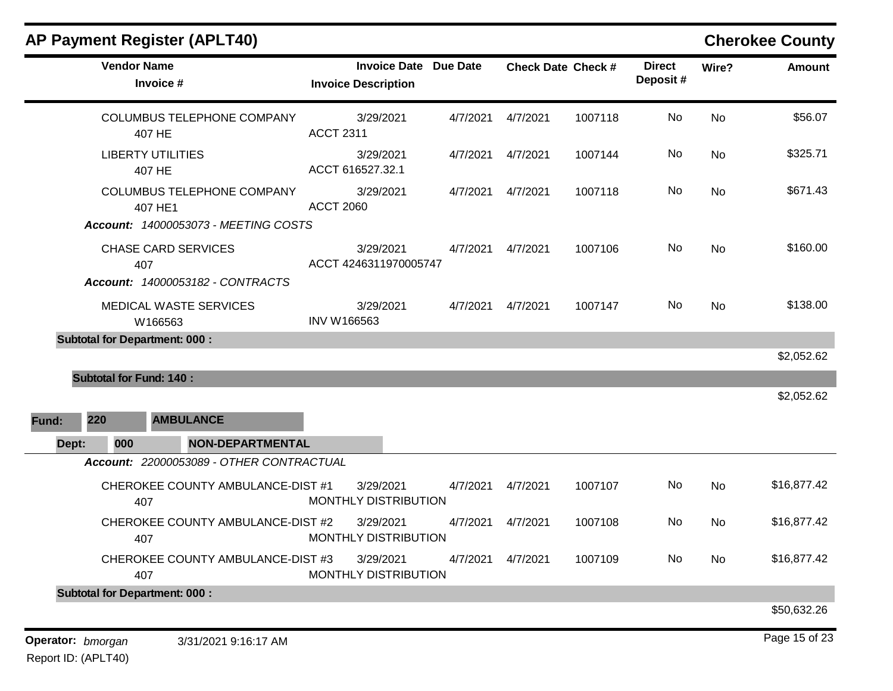| <b>AP Payment Register (APLT40)</b>                                                         |                                                            |          |          |                           |                           |           | <b>Cherokee County</b> |
|---------------------------------------------------------------------------------------------|------------------------------------------------------------|----------|----------|---------------------------|---------------------------|-----------|------------------------|
| <b>Vendor Name</b><br>Invoice #                                                             | <b>Invoice Date Due Date</b><br><b>Invoice Description</b> |          |          | <b>Check Date Check #</b> | <b>Direct</b><br>Deposit# | Wire?     | <b>Amount</b>          |
| COLUMBUS TELEPHONE COMPANY<br>407 HE                                                        | 3/29/2021<br><b>ACCT 2311</b>                              | 4/7/2021 | 4/7/2021 | 1007118                   | No                        | <b>No</b> | \$56.07                |
| <b>LIBERTY UTILITIES</b><br>407 HE                                                          | 3/29/2021<br>ACCT 616527.32.1                              | 4/7/2021 | 4/7/2021 | 1007144                   | No                        | No        | \$325.71               |
| <b>COLUMBUS TELEPHONE COMPANY</b><br>407 HE1<br><b>Account: 14000053073 - MEETING COSTS</b> | 3/29/2021<br><b>ACCT 2060</b>                              | 4/7/2021 | 4/7/2021 | 1007118                   | No                        | <b>No</b> | \$671.43               |
| <b>CHASE CARD SERVICES</b><br>407<br>Account: 14000053182 - CONTRACTS                       | 3/29/2021<br>ACCT 4246311970005747                         | 4/7/2021 | 4/7/2021 | 1007106                   | No                        | <b>No</b> | \$160.00               |
| MEDICAL WASTE SERVICES<br>W166563                                                           | 3/29/2021<br>INV W166563                                   | 4/7/2021 | 4/7/2021 | 1007147                   | No                        | <b>No</b> | \$138.00               |
| <b>Subtotal for Department: 000:</b>                                                        |                                                            |          |          |                           |                           |           |                        |
| <b>Subtotal for Fund: 140:</b>                                                              |                                                            |          |          |                           |                           |           | \$2,052.62             |
|                                                                                             |                                                            |          |          |                           |                           |           | \$2,052.62             |
| 220<br><b>AMBULANCE</b><br>Fund:                                                            |                                                            |          |          |                           |                           |           |                        |
| <b>NON-DEPARTMENTAL</b><br>Dept:<br>000                                                     |                                                            |          |          |                           |                           |           |                        |
| Account: 22000053089 - OTHER CONTRACTUAL                                                    |                                                            |          |          |                           |                           |           |                        |
| CHEROKEE COUNTY AMBULANCE-DIST #1<br>407                                                    | 3/29/2021<br>MONTHLY DISTRIBUTION                          | 4/7/2021 | 4/7/2021 | 1007107                   | No                        | No        | \$16,877.42            |
| CHEROKEE COUNTY AMBULANCE-DIST #2<br>407                                                    | 3/29/2021<br>MONTHLY DISTRIBUTION                          | 4/7/2021 | 4/7/2021 | 1007108                   | No                        | <b>No</b> | \$16,877.42            |
| CHEROKEE COUNTY AMBULANCE-DIST #3<br>407                                                    | 3/29/2021<br>MONTHLY DISTRIBUTION                          | 4/7/2021 | 4/7/2021 | 1007109                   | No                        | No        | \$16,877.42            |
| <b>Subtotal for Department: 000:</b>                                                        |                                                            |          |          |                           |                           |           |                        |
|                                                                                             |                                                            |          |          |                           |                           |           | \$50,632.26            |
| Operator: bmorgan<br>3/31/2021 9:16:17 AM                                                   |                                                            |          |          |                           |                           |           | Page 15 of 23          |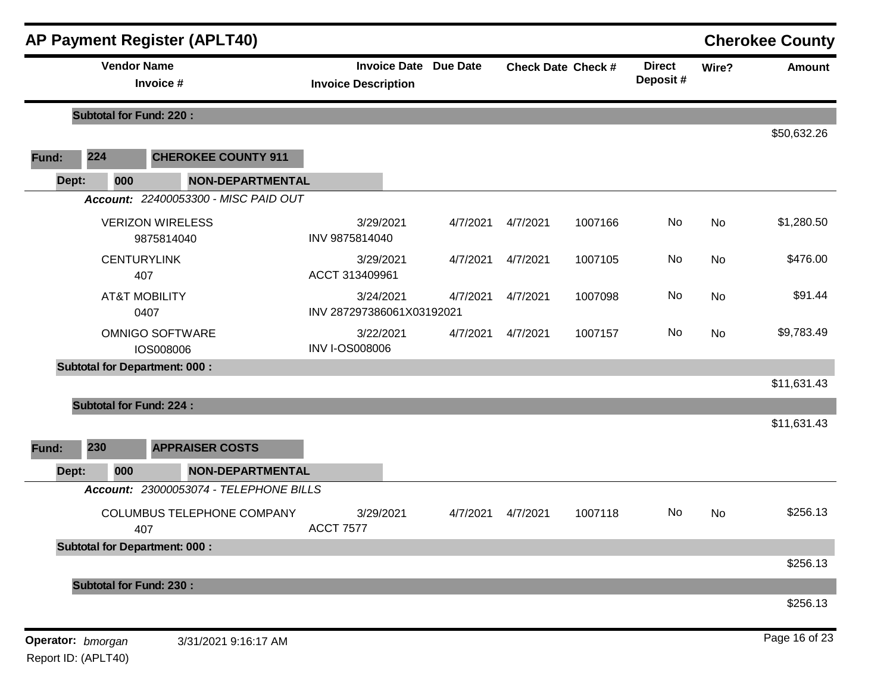|       | <b>Vendor Name</b>             |                                            |                                        |                              |          |                           |                            |       | <b>Cherokee County</b> |
|-------|--------------------------------|--------------------------------------------|----------------------------------------|------------------------------|----------|---------------------------|----------------------------|-------|------------------------|
|       |                                | Invoice #                                  | <b>Invoice Description</b>             | <b>Invoice Date Due Date</b> |          | <b>Check Date Check #</b> | <b>Direct</b><br>Deposit # | Wire? | <b>Amount</b>          |
|       | <b>Subtotal for Fund: 220:</b> |                                            |                                        |                              |          |                           |                            |       |                        |
| Fund: | 224                            | <b>CHEROKEE COUNTY 911</b>                 |                                        |                              |          |                           |                            |       | \$50,632.26            |
| Dept: | 000                            | <b>NON-DEPARTMENTAL</b>                    |                                        |                              |          |                           |                            |       |                        |
|       |                                | Account: 22400053300 - MISC PAID OUT       |                                        |                              |          |                           |                            |       |                        |
|       |                                | <b>VERIZON WIRELESS</b><br>9875814040      | 3/29/2021<br>INV 9875814040            | 4/7/2021                     | 4/7/2021 | 1007166                   | No                         | No    | \$1,280.50             |
|       | <b>CENTURYLINK</b><br>407      |                                            | 3/29/2021<br>ACCT 313409961            | 4/7/2021                     | 4/7/2021 | 1007105                   | No                         | No    | \$476.00               |
|       | <b>AT&amp;T MOBILITY</b>       | 0407                                       | 3/24/2021<br>INV 287297386061X03192021 | 4/7/2021                     | 4/7/2021 | 1007098                   | No                         | No    | \$91.44                |
|       |                                | <b>OMNIGO SOFTWARE</b><br><b>IOS008006</b> | 3/22/2021<br><b>INV I-OS008006</b>     | 4/7/2021                     | 4/7/2021 | 1007157                   | No                         | No    | \$9,783.49             |
|       |                                | <b>Subtotal for Department: 000:</b>       |                                        |                              |          |                           |                            |       |                        |
|       |                                |                                            |                                        |                              |          |                           |                            |       | \$11,631.43            |
|       | <b>Subtotal for Fund: 224:</b> |                                            |                                        |                              |          |                           |                            |       | \$11,631.43            |
| Fund: | 230                            | <b>APPRAISER COSTS</b>                     |                                        |                              |          |                           |                            |       |                        |
| Dept: | 000                            | <b>NON-DEPARTMENTAL</b>                    |                                        |                              |          |                           |                            |       |                        |
|       |                                | Account: 23000053074 - TELEPHONE BILLS     |                                        |                              |          |                           |                            |       |                        |
|       | 407                            | <b>COLUMBUS TELEPHONE COMPANY</b>          | 3/29/2021<br><b>ACCT 7577</b>          | 4/7/2021                     | 4/7/2021 | 1007118                   | No                         | No    | \$256.13               |
|       |                                | <b>Subtotal for Department: 000:</b>       |                                        |                              |          |                           |                            |       |                        |
|       |                                |                                            |                                        |                              |          |                           |                            |       | \$256.13               |
|       |                                | <b>Subtotal for Fund: 230:</b>             |                                        |                              |          |                           |                            |       |                        |
|       |                                |                                            |                                        |                              |          |                           |                            |       | \$256.13               |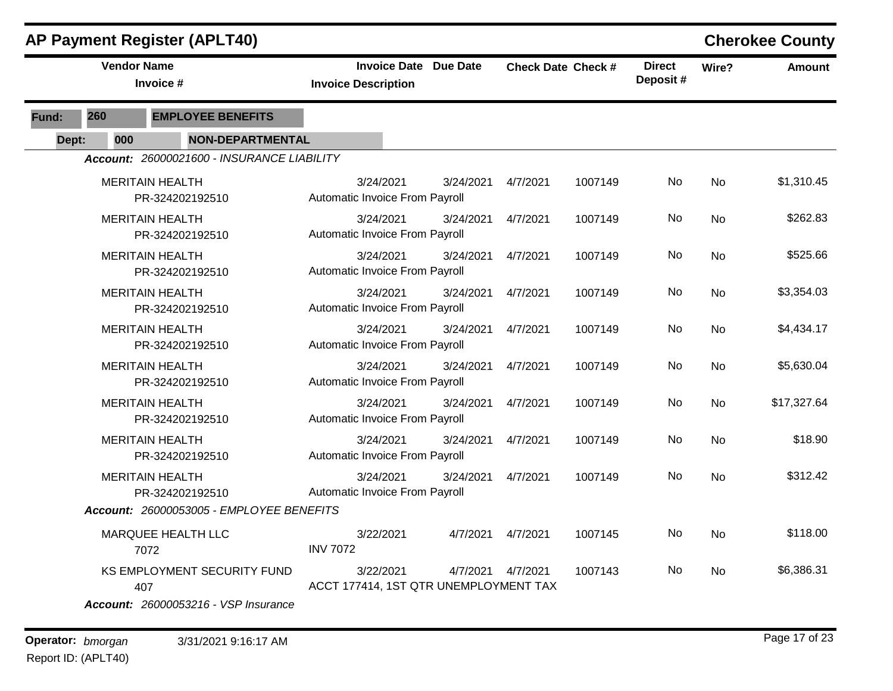|       |                    | AP Payment Register (APLT40)                                               |                                                            |           |                           |         |                           |           | <b>Cherokee County</b> |
|-------|--------------------|----------------------------------------------------------------------------|------------------------------------------------------------|-----------|---------------------------|---------|---------------------------|-----------|------------------------|
|       | <b>Vendor Name</b> | Invoice #                                                                  | <b>Invoice Date Due Date</b><br><b>Invoice Description</b> |           | <b>Check Date Check #</b> |         | <b>Direct</b><br>Deposit# | Wire?     | <b>Amount</b>          |
| Fund: | 260                | <b>EMPLOYEE BENEFITS</b>                                                   |                                                            |           |                           |         |                           |           |                        |
| Dept: | 000                | <b>NON-DEPARTMENTAL</b>                                                    |                                                            |           |                           |         |                           |           |                        |
|       |                    | Account: 26000021600 - INSURANCE LIABILITY                                 |                                                            |           |                           |         |                           |           |                        |
|       |                    | <b>MERITAIN HEALTH</b><br>PR-324202192510                                  | 3/24/2021<br>Automatic Invoice From Payroll                | 3/24/2021 | 4/7/2021                  | 1007149 | No                        | <b>No</b> | \$1,310.45             |
|       |                    | <b>MERITAIN HEALTH</b><br>PR-324202192510                                  | 3/24/2021<br>Automatic Invoice From Payroll                | 3/24/2021 | 4/7/2021                  | 1007149 | No                        | <b>No</b> | \$262.83               |
|       |                    | <b>MERITAIN HEALTH</b><br>PR-324202192510                                  | 3/24/2021<br>Automatic Invoice From Payroll                | 3/24/2021 | 4/7/2021                  | 1007149 | No                        | <b>No</b> | \$525.66               |
|       |                    | <b>MERITAIN HEALTH</b><br>PR-324202192510                                  | 3/24/2021<br>Automatic Invoice From Payroll                | 3/24/2021 | 4/7/2021                  | 1007149 | No                        | <b>No</b> | \$3,354.03             |
|       |                    | <b>MERITAIN HEALTH</b><br>PR-324202192510                                  | 3/24/2021<br>Automatic Invoice From Payroll                | 3/24/2021 | 4/7/2021                  | 1007149 | No.                       | <b>No</b> | \$4,434.17             |
|       |                    | <b>MERITAIN HEALTH</b><br>PR-324202192510                                  | 3/24/2021<br>Automatic Invoice From Payroll                | 3/24/2021 | 4/7/2021                  | 1007149 | No                        | <b>No</b> | \$5,630.04             |
|       |                    | <b>MERITAIN HEALTH</b><br>PR-324202192510                                  | 3/24/2021<br>Automatic Invoice From Payroll                | 3/24/2021 | 4/7/2021                  | 1007149 | No                        | No        | \$17,327.64            |
|       |                    | <b>MERITAIN HEALTH</b><br>PR-324202192510                                  | 3/24/2021<br>Automatic Invoice From Payroll                | 3/24/2021 | 4/7/2021                  | 1007149 | No                        | <b>No</b> | \$18.90                |
|       |                    | <b>MERITAIN HEALTH</b><br>PR-324202192510                                  | 3/24/2021<br>Automatic Invoice From Payroll                | 3/24/2021 | 4/7/2021                  | 1007149 | No                        | <b>No</b> | \$312.42               |
|       |                    | Account: 26000053005 - EMPLOYEE BENEFITS                                   |                                                            |           |                           |         |                           |           |                        |
|       |                    | MARQUEE HEALTH LLC<br>7072                                                 | 3/22/2021<br><b>INV 7072</b>                               | 4/7/2021  | 4/7/2021                  | 1007145 | No                        | <b>No</b> | \$118.00               |
|       |                    | KS EMPLOYMENT SECURITY FUND<br>407<br>Account: 26000053216 - VSP Insurance | 3/22/2021<br>ACCT 177414, 1ST QTR UNEMPLOYMENT TAX         | 4/7/2021  | 4/7/2021                  | 1007143 | No                        | No.       | \$6,386.31             |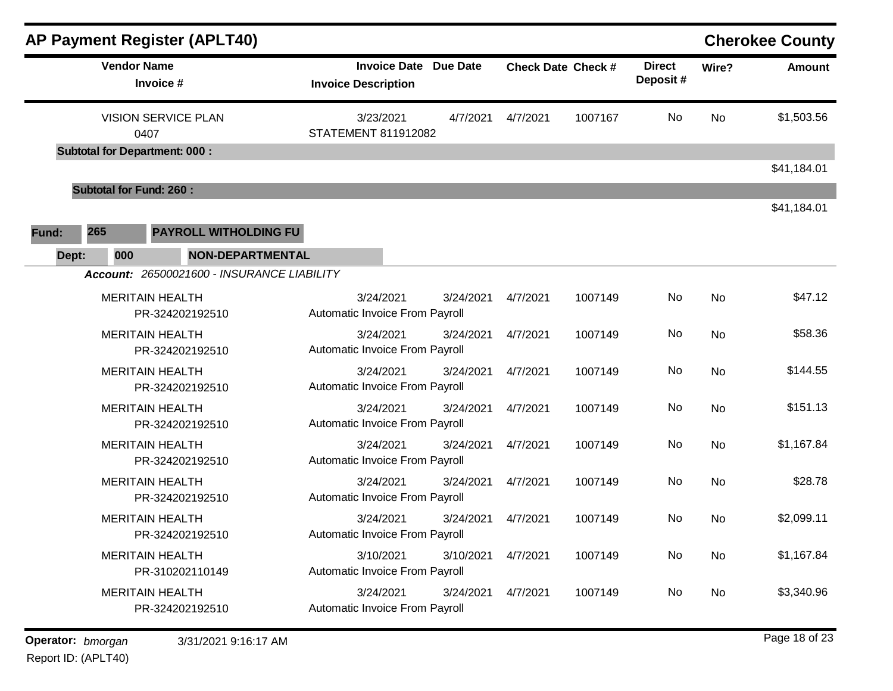| <b>AP Payment Register (APLT40)</b>                                                   |                                                            |           |          |                           |                           |           | <b>Cherokee County</b> |
|---------------------------------------------------------------------------------------|------------------------------------------------------------|-----------|----------|---------------------------|---------------------------|-----------|------------------------|
| <b>Vendor Name</b><br>Invoice #                                                       | <b>Invoice Date Due Date</b><br><b>Invoice Description</b> |           |          | <b>Check Date Check #</b> | <b>Direct</b><br>Deposit# | Wire?     | <b>Amount</b>          |
| <b>VISION SERVICE PLAN</b><br>0407                                                    | 3/23/2021<br>STATEMENT 811912082                           | 4/7/2021  | 4/7/2021 | 1007167                   | No                        | No        | \$1,503.56             |
| <b>Subtotal for Department: 000:</b>                                                  |                                                            |           |          |                           |                           |           | \$41,184.01            |
| <b>Subtotal for Fund: 260:</b>                                                        |                                                            |           |          |                           |                           |           |                        |
| 265<br>PAYROLL WITHOLDING FU<br>Fund:                                                 |                                                            |           |          |                           |                           |           | \$41,184.01            |
| <b>NON-DEPARTMENTAL</b><br>000<br>Dept:<br>Account: 26500021600 - INSURANCE LIABILITY |                                                            |           |          |                           |                           |           |                        |
| <b>MERITAIN HEALTH</b><br>PR-324202192510                                             | 3/24/2021<br>Automatic Invoice From Payroll                | 3/24/2021 | 4/7/2021 | 1007149                   | No                        | <b>No</b> | \$47.12                |
| <b>MERITAIN HEALTH</b><br>PR-324202192510                                             | 3/24/2021<br>Automatic Invoice From Payroll                | 3/24/2021 | 4/7/2021 | 1007149                   | No                        | No        | \$58.36                |
| <b>MERITAIN HEALTH</b><br>PR-324202192510                                             | 3/24/2021<br>Automatic Invoice From Payroll                | 3/24/2021 | 4/7/2021 | 1007149                   | No                        | No        | \$144.55               |
| <b>MERITAIN HEALTH</b><br>PR-324202192510                                             | 3/24/2021<br>Automatic Invoice From Payroll                | 3/24/2021 | 4/7/2021 | 1007149                   | No                        | No        | \$151.13               |
| <b>MERITAIN HEALTH</b><br>PR-324202192510                                             | 3/24/2021<br>Automatic Invoice From Payroll                | 3/24/2021 | 4/7/2021 | 1007149                   | No                        | No        | \$1,167.84             |
| <b>MERITAIN HEALTH</b><br>PR-324202192510                                             | 3/24/2021<br>Automatic Invoice From Payroll                | 3/24/2021 | 4/7/2021 | 1007149                   | No                        | No        | \$28.78                |
| <b>MERITAIN HEALTH</b><br>PR-324202192510                                             | 3/24/2021<br>Automatic Invoice From Payroll                | 3/24/2021 | 4/7/2021 | 1007149                   | No                        | No        | \$2,099.11             |
| <b>MERITAIN HEALTH</b><br>PR-310202110149                                             | 3/10/2021<br>Automatic Invoice From Payroll                | 3/10/2021 | 4/7/2021 | 1007149                   | No                        | No        | \$1,167.84             |
| <b>MERITAIN HEALTH</b><br>PR-324202192510                                             | 3/24/2021<br>Automatic Invoice From Payroll                | 3/24/2021 | 4/7/2021 | 1007149                   | No                        | No        | \$3,340.96             |

**Operator:** bmorgan 3/31/2021 9:16:17 AM **by a contract of the CO23 bigged 18 of 23 by a contract of 23 b b** and 23 Report ID: (APLT40)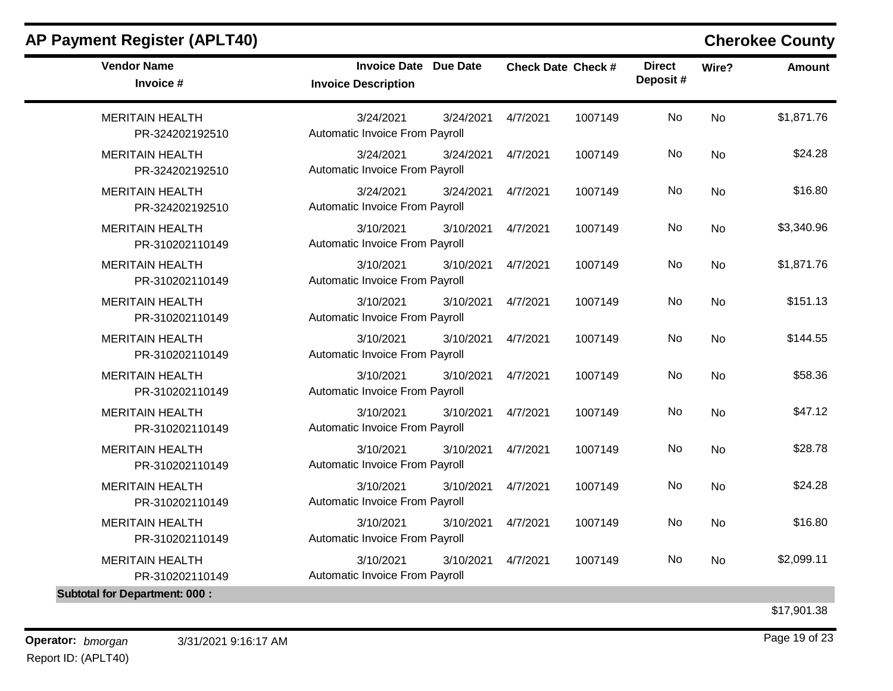| 3/24/2021<br>3/24/2021<br>Automatic Invoice From Payroll | 4/7/2021                                                                                                                                                                                                                                                                                                                                                                                                                                       | <b>No</b><br>1007149 |                                                                                                                                  |            |
|----------------------------------------------------------|------------------------------------------------------------------------------------------------------------------------------------------------------------------------------------------------------------------------------------------------------------------------------------------------------------------------------------------------------------------------------------------------------------------------------------------------|----------------------|----------------------------------------------------------------------------------------------------------------------------------|------------|
|                                                          |                                                                                                                                                                                                                                                                                                                                                                                                                                                |                      | <b>No</b>                                                                                                                        | \$1,871.76 |
|                                                          | 4/7/2021                                                                                                                                                                                                                                                                                                                                                                                                                                       | No                   | <b>No</b>                                                                                                                        | \$24.28    |
| 3/24/2021<br>3/24/2021                                   | 4/7/2021                                                                                                                                                                                                                                                                                                                                                                                                                                       | No                   | <b>No</b>                                                                                                                        | \$16.80    |
| 3/10/2021<br>3/10/2021                                   | 4/7/2021                                                                                                                                                                                                                                                                                                                                                                                                                                       | No                   | <b>No</b>                                                                                                                        | \$3,340.96 |
| 3/10/2021<br>3/10/2021                                   | 4/7/2021                                                                                                                                                                                                                                                                                                                                                                                                                                       | <b>No</b>            | <b>No</b>                                                                                                                        | \$1,871.76 |
| 3/10/2021<br>3/10/2021                                   | 4/7/2021                                                                                                                                                                                                                                                                                                                                                                                                                                       | No                   | <b>No</b>                                                                                                                        | \$151.13   |
| 3/10/2021<br>3/10/2021                                   | 4/7/2021                                                                                                                                                                                                                                                                                                                                                                                                                                       | <b>No</b>            | <b>No</b>                                                                                                                        | \$144.55   |
| 3/10/2021<br>3/10/2021                                   | 4/7/2021                                                                                                                                                                                                                                                                                                                                                                                                                                       | <b>No</b>            | <b>No</b>                                                                                                                        | \$58.36    |
| 3/10/2021<br>3/10/2021                                   | 4/7/2021                                                                                                                                                                                                                                                                                                                                                                                                                                       | No                   | <b>No</b>                                                                                                                        | \$47.12    |
| 3/10/2021<br>3/10/2021                                   | 4/7/2021                                                                                                                                                                                                                                                                                                                                                                                                                                       | <b>No</b>            | No                                                                                                                               | \$28.78    |
| 3/10/2021<br>3/10/2021                                   | 4/7/2021                                                                                                                                                                                                                                                                                                                                                                                                                                       | No                   | <b>No</b>                                                                                                                        | \$24.28    |
| 3/10/2021<br>3/10/2021                                   | 4/7/2021                                                                                                                                                                                                                                                                                                                                                                                                                                       | No                   | <b>No</b>                                                                                                                        | \$16.80    |
| 3/10/2021<br>3/10/2021                                   | 4/7/2021                                                                                                                                                                                                                                                                                                                                                                                                                                       | No                   | <b>No</b>                                                                                                                        | \$2,099.11 |
|                                                          | 3/24/2021<br>3/24/2021<br>Automatic Invoice From Payroll<br>Automatic Invoice From Payroll<br>Automatic Invoice From Payroll<br>Automatic Invoice From Payroll<br>Automatic Invoice From Payroll<br>Automatic Invoice From Payroll<br>Automatic Invoice From Payroll<br>Automatic Invoice From Payroll<br>Automatic Invoice From Payroll<br>Automatic Invoice From Payroll<br>Automatic Invoice From Payroll<br>Automatic Invoice From Payroll |                      | 1007149<br>1007149<br>1007149<br>1007149<br>1007149<br>1007149<br>1007149<br>1007149<br>1007149<br>1007149<br>1007149<br>1007149 |            |

\$17,901.38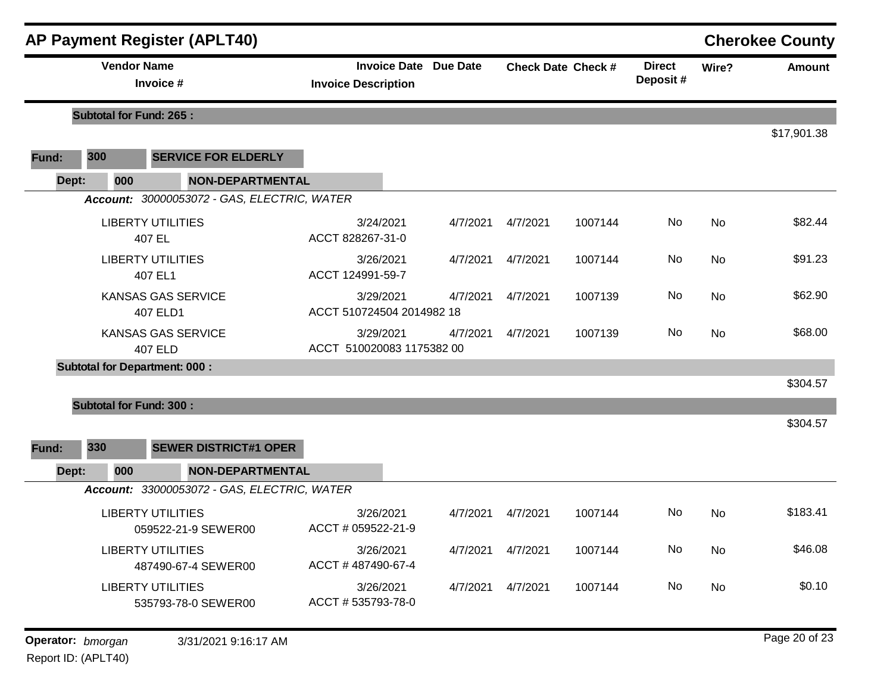|                   |     |                                | <b>AP Payment Register (APLT40)</b>             |                                                            |          |          |                           |                           |           | <b>Cherokee County</b> |
|-------------------|-----|--------------------------------|-------------------------------------------------|------------------------------------------------------------|----------|----------|---------------------------|---------------------------|-----------|------------------------|
|                   |     | <b>Vendor Name</b>             | Invoice #                                       | <b>Invoice Date Due Date</b><br><b>Invoice Description</b> |          |          | <b>Check Date Check #</b> | <b>Direct</b><br>Deposit# | Wire?     | <b>Amount</b>          |
|                   |     | <b>Subtotal for Fund: 265:</b> |                                                 |                                                            |          |          |                           |                           |           |                        |
| Fund:             | 300 |                                | <b>SERVICE FOR ELDERLY</b>                      |                                                            |          |          |                           |                           |           | \$17,901.38            |
| Dept:             |     | 000                            | <b>NON-DEPARTMENTAL</b>                         |                                                            |          |          |                           |                           |           |                        |
|                   |     |                                | Account: 30000053072 - GAS, ELECTRIC, WATER     |                                                            |          |          |                           |                           |           |                        |
|                   |     | 407 EL                         | <b>LIBERTY UTILITIES</b>                        | 3/24/2021<br>ACCT 828267-31-0                              | 4/7/2021 | 4/7/2021 | 1007144                   | No                        | No        | \$82.44                |
|                   |     |                                | <b>LIBERTY UTILITIES</b><br>407 EL1             | 3/26/2021<br>ACCT 124991-59-7                              | 4/7/2021 | 4/7/2021 | 1007144                   | No                        | <b>No</b> | \$91.23                |
|                   |     |                                | <b>KANSAS GAS SERVICE</b><br>407 ELD1           | 3/29/2021<br>ACCT 510724504 2014982 18                     | 4/7/2021 | 4/7/2021 | 1007139                   | No                        | No        | \$62.90                |
|                   |     |                                | <b>KANSAS GAS SERVICE</b><br><b>407 ELD</b>     | 3/29/2021<br>ACCT 510020083 1175382 00                     | 4/7/2021 | 4/7/2021 | 1007139                   | No                        | No        | \$68.00                |
|                   |     |                                | <b>Subtotal for Department: 000:</b>            |                                                            |          |          |                           |                           |           |                        |
|                   |     |                                |                                                 |                                                            |          |          |                           |                           |           | \$304.57               |
| Fund:             | 330 | <b>Subtotal for Fund: 300:</b> | <b>SEWER DISTRICT#1 OPER</b>                    |                                                            |          |          |                           |                           |           | \$304.57               |
| Dept:             |     | 000                            | <b>NON-DEPARTMENTAL</b>                         |                                                            |          |          |                           |                           |           |                        |
|                   |     |                                | Account: 33000053072 - GAS, ELECTRIC, WATER     |                                                            |          |          |                           |                           |           |                        |
|                   |     |                                | <b>LIBERTY UTILITIES</b><br>059522-21-9 SEWER00 | 3/26/2021<br>ACCT # 059522-21-9                            | 4/7/2021 | 4/7/2021 | 1007144                   | No                        | No        | \$183.41               |
|                   |     |                                | <b>LIBERTY UTILITIES</b><br>487490-67-4 SEWER00 | 3/26/2021<br>ACCT #487490-67-4                             | 4/7/2021 | 4/7/2021 | 1007144                   | No                        | No        | \$46.08                |
|                   |     |                                | <b>LIBERTY UTILITIES</b><br>535793-78-0 SEWER00 | 3/26/2021<br>ACCT #535793-78-0                             | 4/7/2021 | 4/7/2021 | 1007144                   | No                        | No        | \$0.10                 |
| Operator: bmorgan |     |                                | 3/31/2021 9:16:17 AM                            |                                                            |          |          |                           |                           |           | Page 20 of 23          |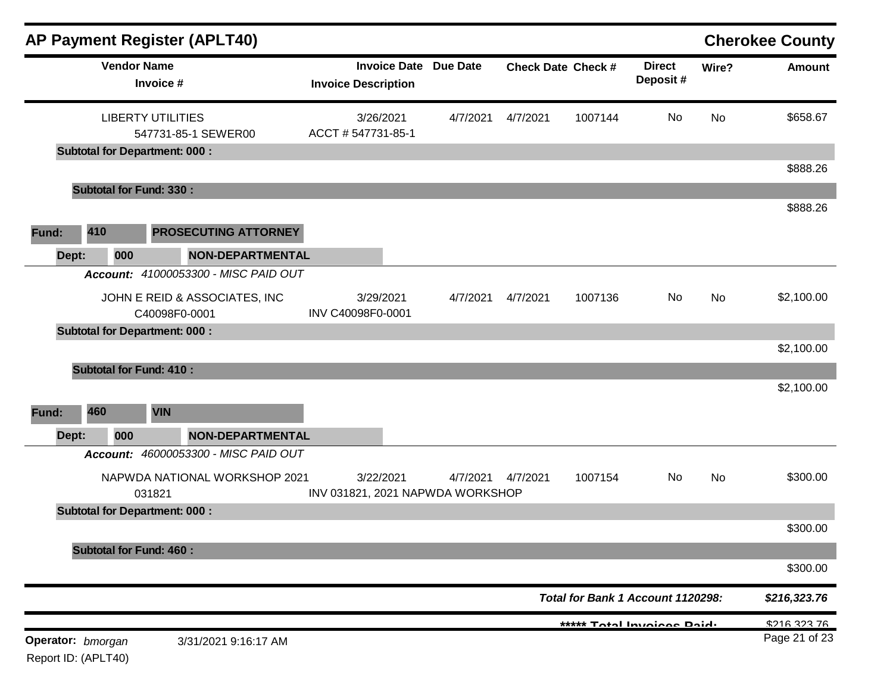|                                          |     |     |                                      | <b>AP Payment Register (APLT40)</b>  |                                               |                              |          |                           |                                   |           | <b>Cherokee County</b> |
|------------------------------------------|-----|-----|--------------------------------------|--------------------------------------|-----------------------------------------------|------------------------------|----------|---------------------------|-----------------------------------|-----------|------------------------|
|                                          |     |     | <b>Vendor Name</b><br>Invoice #      |                                      | <b>Invoice Description</b>                    | <b>Invoice Date Due Date</b> |          | <b>Check Date Check #</b> | <b>Direct</b><br>Deposit#         | Wire?     | Amount                 |
|                                          |     |     | <b>LIBERTY UTILITIES</b>             | 547731-85-1 SEWER00                  | 3/26/2021<br>ACCT # 547731-85-1               | 4/7/2021                     | 4/7/2021 | 1007144                   | No                                | <b>No</b> | \$658.67               |
|                                          |     |     | <b>Subtotal for Department: 000:</b> |                                      |                                               |                              |          |                           |                                   |           | \$888.26               |
|                                          |     |     | <b>Subtotal for Fund: 330:</b>       |                                      |                                               |                              |          |                           |                                   |           |                        |
|                                          |     |     |                                      |                                      |                                               |                              |          |                           |                                   |           | \$888.26               |
| Fund:                                    | 410 |     |                                      | <b>PROSECUTING ATTORNEY</b>          |                                               |                              |          |                           |                                   |           |                        |
| Dept:                                    |     | 000 |                                      | <b>NON-DEPARTMENTAL</b>              |                                               |                              |          |                           |                                   |           |                        |
|                                          |     |     |                                      | Account: 41000053300 - MISC PAID OUT |                                               |                              |          |                           |                                   |           |                        |
|                                          |     |     | C40098F0-0001                        | JOHN E REID & ASSOCIATES, INC        | 3/29/2021<br>INV C40098F0-0001                | 4/7/2021                     | 4/7/2021 | 1007136                   | No                                | No        | \$2,100.00             |
|                                          |     |     | <b>Subtotal for Department: 000:</b> |                                      |                                               |                              |          |                           |                                   |           |                        |
|                                          |     |     |                                      |                                      |                                               |                              |          |                           |                                   |           | \$2,100.00             |
|                                          |     |     | <b>Subtotal for Fund: 410:</b>       |                                      |                                               |                              |          |                           |                                   |           |                        |
|                                          |     |     |                                      |                                      |                                               |                              |          |                           |                                   |           | \$2,100.00             |
| Fund:                                    | 460 |     | <b>VIN</b>                           |                                      |                                               |                              |          |                           |                                   |           |                        |
| Dept:                                    |     | 000 |                                      | NON-DEPARTMENTAL                     |                                               |                              |          |                           |                                   |           |                        |
|                                          |     |     |                                      | Account: 46000053300 - MISC PAID OUT |                                               |                              |          |                           |                                   |           |                        |
|                                          |     |     | 031821                               | NAPWDA NATIONAL WORKSHOP 2021        | 3/22/2021<br>INV 031821, 2021 NAPWDA WORKSHOP | 4/7/2021                     | 4/7/2021 | 1007154                   | No                                | No        | \$300.00               |
|                                          |     |     | <b>Subtotal for Department: 000:</b> |                                      |                                               |                              |          |                           |                                   |           |                        |
|                                          |     |     |                                      |                                      |                                               |                              |          |                           |                                   |           | \$300.00               |
|                                          |     |     | <b>Subtotal for Fund: 460:</b>       |                                      |                                               |                              |          |                           |                                   |           | \$300.00               |
|                                          |     |     |                                      |                                      |                                               |                              |          |                           | Total for Bank 1 Account 1120298: |           | \$216,323.76           |
|                                          |     |     |                                      |                                      |                                               |                              |          |                           | ***** Total Invoices Daid.        |           | \$216,323.76           |
| Operator: bmorgan<br>Report ID: (APLT40) |     |     |                                      | 3/31/2021 9:16:17 AM                 |                                               |                              |          |                           |                                   |           | Page 21 of 23          |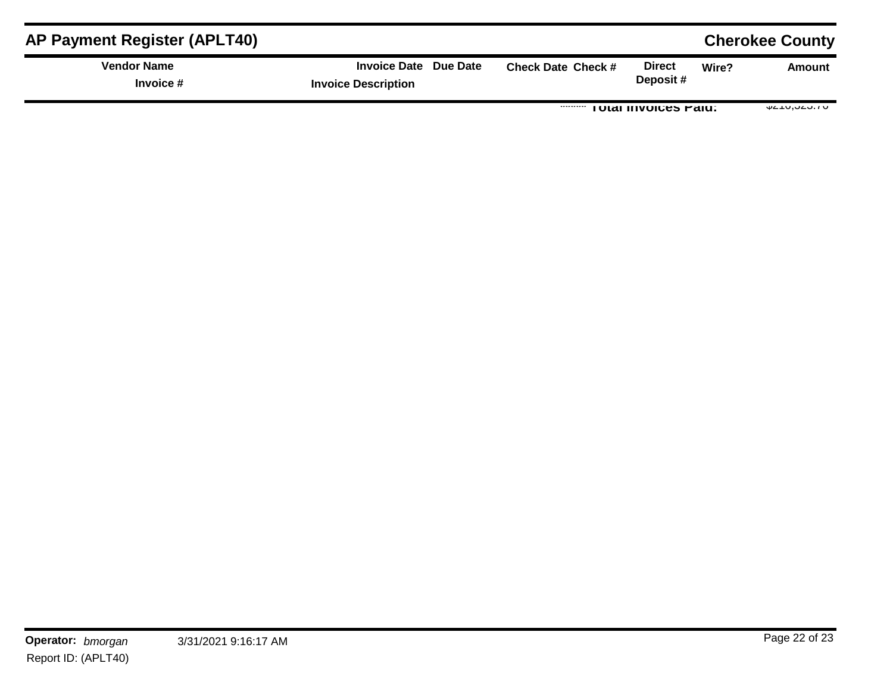| <b>AP Payment Register (APLT40)</b> |                                                     |                           |                                    | <b>Cherokee County</b> |
|-------------------------------------|-----------------------------------------------------|---------------------------|------------------------------------|------------------------|
| <b>Vendor Name</b><br>Invoice #     | Invoice Date Due Date<br><b>Invoice Description</b> | <b>Check Date Check #</b> | <b>Direct</b><br>Wire?<br>Deposit# | Amount                 |
|                                     |                                                     |                           | <b>TOTAL INVOICES FAIU.</b>        | $V = 10,020.1$         |